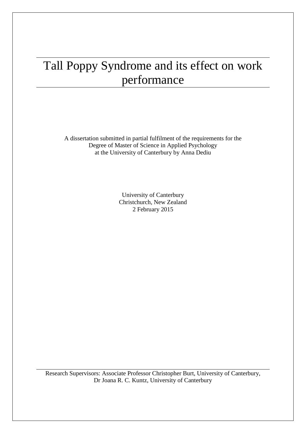# Tall Poppy Syndrome and its effect on work performance

A dissertation submitted in partial fulfilment of the requirements for the Degree of Master of Science in Applied Psychology at the University of Canterbury by Anna Dediu

> University of Canterbury Christchurch, New Zealand 2 February 2015

Research Supervisors: Associate Professor Christopher Burt, University of Canterbury, Dr Joana R. C. Kuntz, University of Canterbury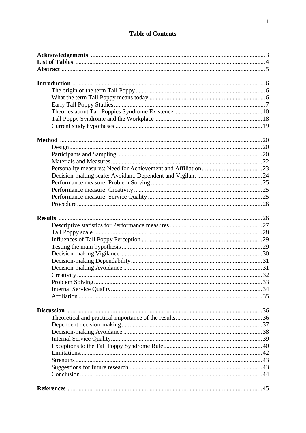# **Table of Contents**

| Design 1.120 |  |
|--------------|--|
|              |  |
|              |  |
|              |  |
|              |  |
|              |  |
|              |  |
|              |  |
|              |  |
|              |  |
|              |  |
|              |  |
|              |  |
|              |  |
|              |  |
|              |  |
|              |  |
|              |  |
|              |  |
|              |  |
|              |  |
|              |  |
|              |  |
|              |  |
|              |  |
|              |  |
|              |  |
|              |  |
|              |  |
|              |  |
|              |  |
|              |  |
|              |  |
|              |  |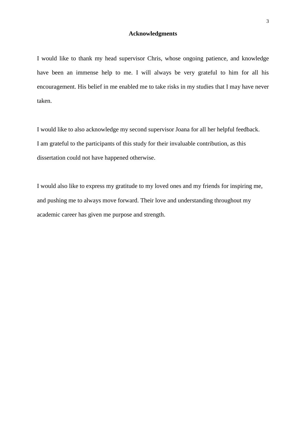# **Acknowledgments**

I would like to thank my head supervisor Chris, whose ongoing patience, and knowledge have been an immense help to me. I will always be very grateful to him for all his encouragement. His belief in me enabled me to take risks in my studies that I may have never taken.

I would like to also acknowledge my second supervisor Joana for all her helpful feedback. I am grateful to the participants of this study for their invaluable contribution, as this dissertation could not have happened otherwise.

I would also like to express my gratitude to my loved ones and my friends for inspiring me, and pushing me to always move forward. Their love and understanding throughout my academic career has given me purpose and strength.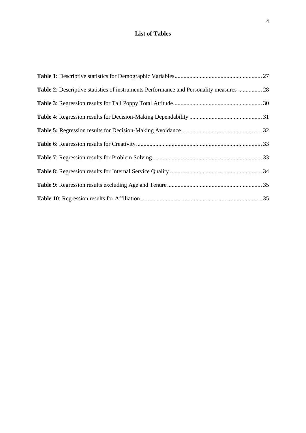# **List of Tables**

| Table 2: Descriptive statistics of instruments Performance and Personality measures  28 |  |
|-----------------------------------------------------------------------------------------|--|
|                                                                                         |  |
|                                                                                         |  |
|                                                                                         |  |
|                                                                                         |  |
|                                                                                         |  |
|                                                                                         |  |
|                                                                                         |  |
|                                                                                         |  |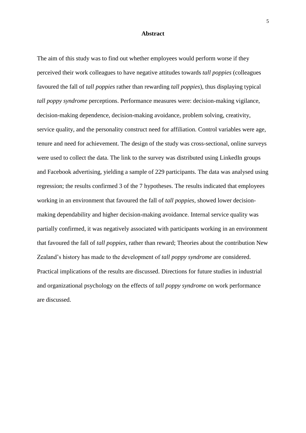#### **Abstract**

The aim of this study was to find out whether employees would perform worse if they perceived their work colleagues to have negative attitudes towards *tall poppies* (colleagues favoured the fall of *tall poppies* rather than rewarding *tall poppies*), thus displaying typical *tall poppy syndrome* perceptions. Performance measures were: decision-making vigilance, decision-making dependence, decision-making avoidance, problem solving, creativity, service quality, and the personality construct need for affiliation. Control variables were age, tenure and need for achievement. The design of the study was cross-sectional, online surveys were used to collect the data. The link to the survey was distributed using LinkedIn groups and Facebook advertising, yielding a sample of 229 participants. The data was analysed using regression; the results confirmed 3 of the 7 hypotheses. The results indicated that employees working in an environment that favoured the fall of *tall poppies,* showed lower decisionmaking dependability and higher decision-making avoidance. Internal service quality was partially confirmed, it was negatively associated with participants working in an environment that favoured the fall of *tall poppies,* rather than reward; Theories about the contribution New Zealand's history has made to the development of *tall poppy syndrome* are considered. Practical implications of the results are discussed. Directions for future studies in industrial and organizational psychology on the effects of *tall poppy syndrome* on work performance are discussed.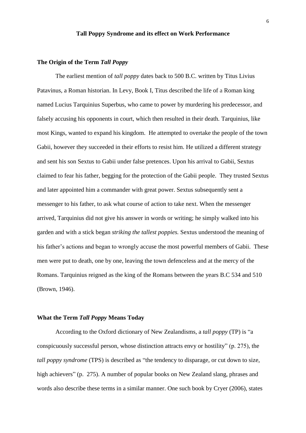# **Tall Poppy Syndrome and its effect on Work Performance**

## **The Origin of the Term** *Tall Poppy*

The earliest mention of *tall poppy* dates back to 500 B.C. written by Titus Livius Patavinus, a Roman historian. In Levy, Book I, Titus described the life of a Roman king named Lucius Tarquinius Superbus, who came to power by murdering his predecessor, and falsely accusing his opponents in court, which then resulted in their death. Tarquinius, like most Kings, wanted to expand his kingdom. He attempted to overtake the people of the town Gabii, however they succeeded in their efforts to resist him. He utilized a different strategy and sent his son Sextus to Gabii under false pretences. Upon his arrival to Gabii, Sextus claimed to fear his father, begging for the protection of the Gabii people. They trusted Sextus and later appointed him a commander with great power. Sextus subsequently sent a messenger to his father, to ask what course of action to take next. When the messenger arrived, Tarquinius did not give his answer in words or writing; he simply walked into his garden and with a stick began *striking the tallest poppies.* Sextus understood the meaning of his father's actions and began to wrongly accuse the most powerful members of Gabii. These men were put to death, one by one, leaving the town defenceless and at the mercy of the Romans. Tarquinius reigned as the king of the Romans between the years B.C 534 and 510 (Brown, 1946).

# **What the Term** *Tall Poppy* **Means Today**

According to the Oxford dictionary of New Zealandisms, a *tall poppy* (TP) is "a conspicuously successful person, whose distinction attracts envy or hostility" (p. 275), the *tall poppy syndrome* (TPS) is described as "the tendency to disparage, or cut down to size, high achievers" (p. 275). A number of popular books on New Zealand slang, phrases and words also describe these terms in a similar manner. One such book by Cryer (2006), states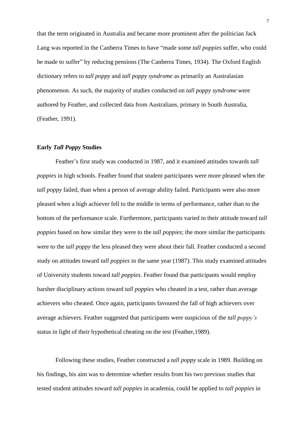that the term originated in Australia and became more prominent after the politician Jack Lang was reported in the Canberra Times to have "made some *tall poppies* suffer, who could be made to suffer" by reducing pensions (The Canberra Times, 1934). The Oxford English dictionary refers to *tall poppy* and *tall poppy syndrome* as primarily an Australasian phenomenon. As such, the majority of studies conducted on *tall poppy syndrome* were authored by Feather, and collected data from Australians, primary in South Australia, (Feather, 1991).

#### **Early** *Tall Poppy* **Studies**

Feather's first study was conducted in 1987, and it examined attitudes towards *tall poppies* in high schools. Feather found that student participants were more pleased when the *tall poppy* failed, than when a person of average ability failed. Participants were also more pleased when a high achiever fell to the middle in terms of performance, rather than to the bottom of the performance scale. Furthermore, participants varied in their attitude toward *tall poppies* based on how similar they were to the *tall poppies*; the more similar the participants were to the *tall poppy* the less pleased they were about their fall. Feather conducted a second study on attitudes toward *tall poppies* in the same year (1987). This study examined attitudes of University students toward *tall poppies*. Feather found that participants would employ harsher disciplinary actions toward *tall poppies* who cheated in a test, rather than average achievers who cheated. Once again, participants favoured the fall of high achievers over average achievers. Feather suggested that participants were suspicious of the *tall poppy's* status in light of their hypothetical cheating on the test (Feather,1989).

Following these studies, Feather constructed a *tall poppy* scale in 1989. Building on his findings, his aim was to determine whether results from his two previous studies that tested student attitudes toward *tall poppies* in academia, could be applied to *tall poppies* in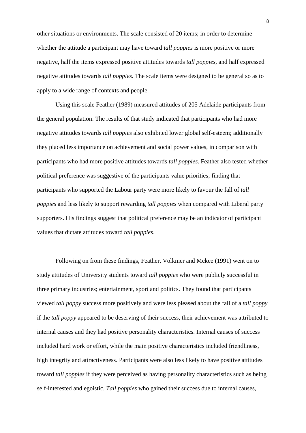other situations or environments. The scale consisted of 20 items; in order to determine whether the attitude a participant may have toward *tall poppies* is more positive or more negative, half the items expressed positive attitudes towards *tall poppies*, and half expressed negative attitudes towards *tall poppies*. The scale items were designed to be general so as to apply to a wide range of contexts and people.

Using this scale Feather (1989) measured attitudes of 205 Adelaide participants from the general population. The results of that study indicated that participants who had more negative attitudes towards *tall poppies* also exhibited lower global self-esteem; additionally they placed less importance on achievement and social power values, in comparison with participants who had more positive attitudes towards *tall poppies*. Feather also tested whether political preference was suggestive of the participants value priorities; finding that participants who supported the Labour party were more likely to favour the fall of *tall poppies* and less likely to support rewarding *tall poppies* when compared with Liberal party supporters. His findings suggest that political preference may be an indicator of participant values that dictate attitudes toward *tall poppies*.

Following on from these findings, Feather, Volkmer and Mckee (1991) went on to study attitudes of University students toward *tall poppies* who were publicly successful in three primary industries; entertainment, sport and politics. They found that participants viewed *tall poppy* success more positively and were less pleased about the fall of a *tall poppy* if the *tall poppy* appeared to be deserving of their success, their achievement was attributed to internal causes and they had positive personality characteristics. Internal causes of success included hard work or effort, while the main positive characteristics included friendliness, high integrity and attractiveness. Participants were also less likely to have positive attitudes toward *tall poppies* if they were perceived as having personality characteristics such as being self-interested and egoistic. *Tall poppies* who gained their success due to internal causes,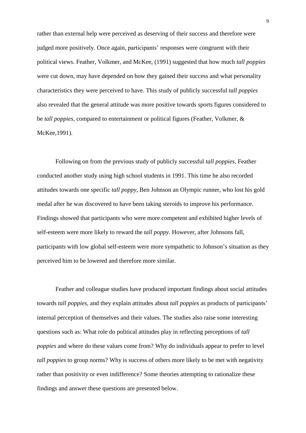rather than external help were perceived as deserving of their success and therefore were judged more positively. Once again, participants' responses were congruent with their political views. Feather, Volkmer, and McKee, (1991) suggested that how much *tall poppies* were cut down, may have depended on how they gained their success and what personality characteristics they were perceived to have. This study of publicly successful *tall poppies* also revealed that the general attitude was more positive towards sports figures considered to be *tall poppies*, compared to entertainment or political figures (Feather, Volkmer, & McKee,1991).

Following on from the previous study of publicly successful *tall poppies*, Feather conducted another study using high school students in 1991. This time he also recorded attitudes towards one specific *tall poppy*, Ben Johnson an Olympic runner, who lost his gold medal after he was discovered to have been taking steroids to improve his performance. Findings showed that participants who were more competent and exhibited higher levels of self-esteem were more likely to reward the *tall poppy.* However, after Johnsons fall, participants with low global self-esteem were more sympathetic to Johnson's situation as they perceived him to be lowered and therefore more similar.

Feather and colleague studies have produced important findings about social attitudes towards *tall poppies*, and they explain attitudes about *tall poppies* as products of participants' internal perception of themselves and their values. The studies also raise some interesting questions such as: What role do political attitudes play in reflecting perceptions of *tall poppies* and where do these values come from? Why do individuals appear to prefer to level *tall poppies* to group norms? Why is success of others more likely to be met with negativity rather than positivity or even indifference? Some theories attempting to rationalize these findings and answer these questions are presented below.

9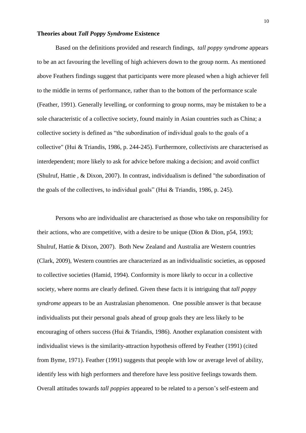#### **Theories about** *Tall Poppy Syndrome* **Existence**

Based on the definitions provided and research findings, *tall poppy syndrome* appears to be an act favouring the levelling of high achievers down to the group norm. As mentioned above Feathers findings suggest that participants were more pleased when a high achiever fell to the middle in terms of performance, rather than to the bottom of the performance scale (Feather, 1991). Generally levelling, or conforming to group norms, may be mistaken to be a sole characteristic of a collective society, found mainly in Asian countries such as China; a collective society is defined as "the subordination of individual goals to the goals of a collective" (Hui & Triandis, 1986, p. 244-245). Furthermore, collectivists are characterised as interdependent; more likely to ask for advice before making a decision; and avoid conflict (Shulruf, Hattie , & Dixon, 2007). In contrast, individualism is defined "the subordination of the goals of the collectives, to individual goals" (Hui & Triandis, 1986, p. 245).

Persons who are individualist are characterised as those who take on responsibility for their actions, who are competitive, with a desire to be unique (Dion & Dion, p54, 1993; Shulruf, Hattie & Dixon, 2007). Both New Zealand and Australia are Western countries (Clark, 2009), Western countries are characterized as an individualistic societies, as opposed to collective societies (Hamid, 1994). Conformity is more likely to occur in a collective society, where norms are clearly defined. Given these facts it is intriguing that *tall poppy syndrome* appears to be an Australasian phenomenon. One possible answer is that because individualists put their personal goals ahead of group goals they are less likely to be encouraging of others success (Hui & Triandis, 1986). Another explanation consistent with individualist views is the similarity-attraction hypothesis offered by Feather (1991) (cited from Byme, 1971). Feather (1991) suggests that people with low or average level of ability, identify less with high performers and therefore have less positive feelings towards them. Overall attitudes towards *tall poppies* appeared to be related to a person's self-esteem and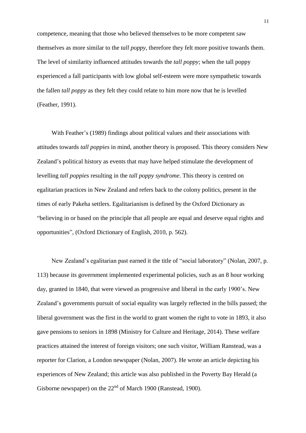competence, meaning that those who believed themselves to be more competent saw themselves as more similar to the *tall poppy*, therefore they felt more positive towards them. The level of similarity influenced attitudes towards the *tall poppy*; when the tall poppy experienced a fall participants with low global self-esteem were more sympathetic towards the fallen *tall poppy* as they felt they could relate to him more now that he is levelled (Feather, 1991).

With Feather's (1989) findings about political values and their associations with attitudes towards *tall poppies* in mind, another theory is proposed. This theory considers New Zealand's political history as events that may have helped stimulate the development of levelling *tall poppies* resulting in the *tall poppy syndrome*. This theory is centred on egalitarian practices in New Zealand and refers back to the colony politics, present in the times of early Pakeha settlers. Egalitarianism is defined by the Oxford Dictionary as ["believing](http://www.oxforddictionaries.com/definition/english/believe) in or [based](http://www.oxforddictionaries.com/definition/english/base#base) on the principle that all people are equal and deserve equal rights and opportunities", (Oxford Dictionary of English, 2010, p. 562).

New Zealand's egalitarian past earned it the title of "social laboratory" (Nolan, 2007, p. 113) because its government implemented experimental policies, such as an 8 hour working day, granted in 1840, that were viewed as progressive and liberal in the early 1900's. New Zealand's governments pursuit of social equality was largely reflected in the bills passed; the liberal government was the first in the world to grant women the right to vote in 1893, it also gave pensions to seniors in 1898 (Ministry for Culture and Heritage, 2014). These welfare practices attained the interest of foreign visitors; one such visitor, William Ranstead, was a reporter for Clarion, a London newspaper (Nolan, 2007). He wrote an article depicting his experiences of New Zealand; this article was also published in the Poverty Bay Herald (a Gisborne newspaper) on the  $22<sup>nd</sup>$  of March 1900 (Ranstead, 1900).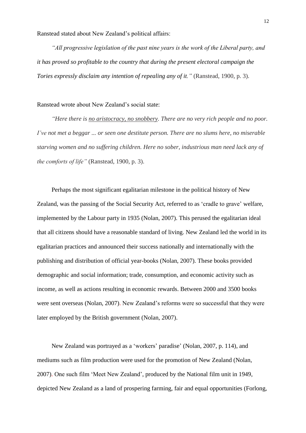Ranstead stated about New Zealand's political affairs:

*"All progressive legislation of the past nine years is the work of the Liberal party, and it has proved so profitable to the country that during the present electoral campaign the Tories expressly disclaim any intention of repealing any of it."* (Ranstead, 1900, p. 3).

# Ranstead wrote about New Zealand's social state:

*"Here there is no aristocracy, no snobbery. There are no very rich people and no poor. I've not met a beggar ... or seen one destitute person. There are no slums here, no miserable starving women and no suffering children. Here no sober, industrious man need lack any of the comforts of life"* (Ranstead, 1900, p. 3).

Perhaps the most significant egalitarian milestone in the political history of New Zealand, was the passing of the Social Security Act, referred to as 'cradle to grave' welfare, implemented by the Labour party in 1935 (Nolan, 2007). This perused the egalitarian ideal that all citizens should have a reasonable standard of living. New Zealand led the world in its egalitarian practices and announced their success nationally and internationally with the publishing and distribution of official year-books (Nolan, 2007). These books provided demographic and social information; trade, consumption, and economic activity such as income, as well as actions resulting in economic rewards. Between 2000 and 3500 books were sent overseas (Nolan, 2007). New Zealand's reforms were so successful that they were later employed by the British government (Nolan, 2007).

New Zealand was portrayed as a 'workers' paradise' (Nolan, 2007, p. 114), and mediums such as film production were used for the promotion of New Zealand (Nolan, 2007). One such film 'Meet New Zealand', produced by the National film unit in 1949, depicted New Zealand as a land of prospering farming, fair and equal opportunities (Forlong,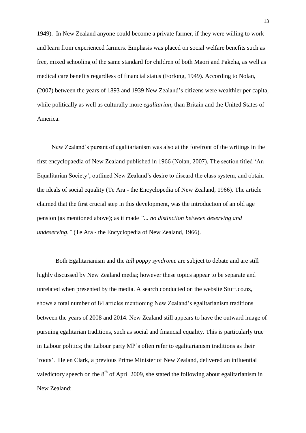1949). In New Zealand anyone could become a private farmer, if they were willing to work and learn from experienced farmers. Emphasis was placed on social welfare benefits such as free, mixed schooling of the same standard for children of both Maori and Pakeha, as well as medical care benefits regardless of financial status (Forlong, 1949). According to Nolan, (2007) between the years of 1893 and 1939 New Zealand's citizens were wealthier per capita, while politically as well as culturally more *egalitarian,* than Britain and the United States of America.

New Zealand's pursuit of egalitarianism was also at the forefront of the writings in the first encyclopaedia of New Zealand published in 1966 (Nolan, 2007). The section titled 'An Equalitarian Society', outlined New Zealand's desire to discard the class system, and obtain the ideals of social equality (Te Ara - the Encyclopedia of New Zealand, 1966). The article claimed that the first crucial step in this development, was the introduction of an old age pension (as mentioned above); as it made *"... no distinction between deserving and undeserving."* (Te Ara - the Encyclopedia of New Zealand, 1966).

Both Egalitarianism and the *tall poppy syndrome* are subject to debate and are still highly discussed by New Zealand media; however these topics appear to be separate and unrelated when presented by the media. A search conducted on the website Stuff.co.nz, shows a total number of 84 articles mentioning New Zealand's egalitarianism traditions between the years of 2008 and 2014. New Zealand still appears to have the outward image of pursuing egalitarian traditions, such as social and financial equality. This is particularly true in Labour politics; the Labour party MP's often refer to egalitarianism traditions as their 'roots'. Helen Clark, a previous Prime Minister of New Zealand, delivered an influential valedictory speech on the  $8<sup>th</sup>$  of April 2009, she stated the following about egalitarianism in New Zealand: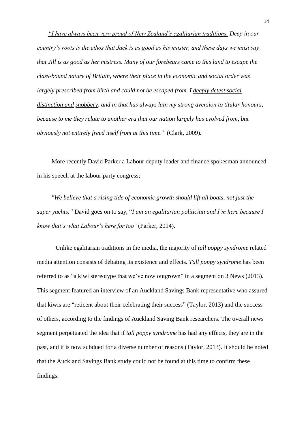*"I have always been very proud of New Zealand's egalitarian traditions. Deep in our country's roots is the ethos that Jack is as good as his master, and these days we must say that Jill is as good as her mistress. Many of our forebears came to this land to escape the class-bound nature of Britain, where their place in the economic and social order was largely prescribed from birth and could not be escaped from. I deeply detest social distinction and snobbery, and in that has always lain my strong aversion to titular honours, because to me they relate to another era that our nation largely has evolved from, but obviously not entirely freed itself from at this time."* (Clark, 2009)*.*

More recently David Parker a Labour deputy leader and finance spokesman announced in his speech at the labour party congress;

*"We believe that a rising tide of economic growth should lift all boats, not just the super yachts."* David goes on to say, "*I am an egalitarian politician and I'm here because I know that's what Labour's here for too"* (Parker, 2014).

Unlike egalitarian traditions in the media, the majority of *tall poppy syndrome* related media attention consists of debating its existence and effects. *Tall poppy syndrome* has been referred to as "a kiwi stereotype that we've now outgrown" in a segment on 3 News (2013). This segment featured an interview of an Auckland Savings Bank representative who assured that kiwis are "reticent about their celebrating their success" (Taylor, 2013) and the success of others, according to the findings of Auckland Saving Bank researchers. The overall news segment perpetuated the idea that if *tall poppy syndrome* has had any effects, they are in the past, and it is now subdued for a diverse number of reasons (Taylor, 2013). It should be noted that the Auckland Savings Bank study could not be found at this time to confirm these findings.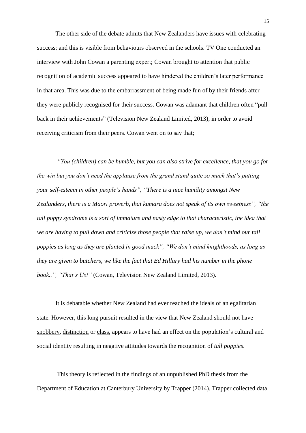The other side of the debate admits that New Zealanders have issues with celebrating success; and this is visible from behaviours observed in the schools. TV One conducted an interview with John Cowan a parenting expert; Cowan brought to attention that public recognition of academic success appeared to have hindered the children's later performance in that area. This was due to the embarrassment of being made fun of by their friends after they were publicly recognised for their success. Cowan was adamant that children often "pull back in their achievements" (Television New Zealand Limited, 2013), in order to avoid receiving criticism from their peers. Cowan went on to say that;

*"You (children) can be humble, but you can also strive for excellence, that you go for the win but you don't need the applause from the grand stand quite so much that's putting your self-esteem in other people's hands", "There is a nice humility amongst New Zealanders, there is a Maori proverb, that kumara does not speak of its own sweetness", "the tall poppy syndrome is a sort of immature and nasty edge to that characteristic, the idea that we are having to pull down and criticize those people that raise up, we don't mind our tall poppies as long as they are planted in good muck", "We don't mind knighthoods, as long as they are given to butchers, we like the fact that Ed Hillary had his number in the phone book..", "That's Us!"* (Cowan, Television New Zealand Limited, 2013)*.*

It is debatable whether New Zealand had ever reached the ideals of an egalitarian state. However, this long pursuit resulted in the view that New Zealand should not have snobbery, distinction or class, appears to have had an effect on the population's cultural and social identity resulting in negative attitudes towards the recognition of *tall poppies*.

This theory is reflected in the findings of an unpublished PhD thesis from the Department of Education at Canterbury University by Trapper (2014). Trapper collected data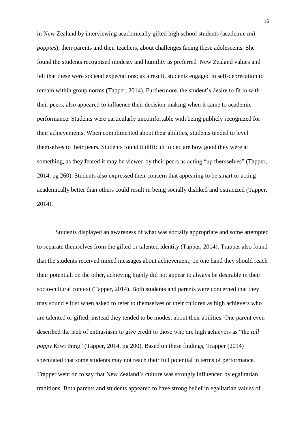in New Zealand by interviewing academically gifted high school students (academic *tall poppies*), their parents and their teachers, about challenges facing these adolescents. She found the students recognised modesty and humility as preferred New Zealand values and felt that these were societal expectations; as a result, students engaged in self-deprecation to remain within group norms (Tapper, 2014). Furthermore, the student's desire to fit in with their peers, also appeared to influence their decision-making when it came to academic performance. Students were particularly uncomfortable with being publicly recognized for their achievements. When complimented about their abilities, students tended to level themselves to their peers. Students found it difficult to declare how good they were at something, as they feared it may be viewed by their peers as acting "up themselves" (Tapper, 2014, pg 260). Students also expressed their concern that appearing to be smart or acting academically better than others could result in being socially disliked and ostracized (Tapper, 2014).

Students displayed an awareness of what was socially appropriate and some attempted to separate themselves from the gifted or talented identity (Tapper, 2014). Trapper also found that the students received mixed messages about achievement; on one hand they should reach their potential, on the other, achieving highly did not appear to always be desirable in their socio-cultural context (Tapper, 2014). Both students and parents were concerned that they may sound elitist when asked to refer to themselves or their children as high achievers who are talented or gifted; instead they tended to be modest about their abilities. One parent even described the lack of enthusiasm to give credit to those who are high achievers as "the *tall poppy* Kiwi thing" (Tapper, 2014, pg 200). Based on these findings, Trapper (2014) speculated that some students may not reach their full potential in terms of performance. Trapper went on to say that New Zealand's culture was strongly influenced by egalitarian traditions. Both parents and students appeared to have strong belief in egalitarian values of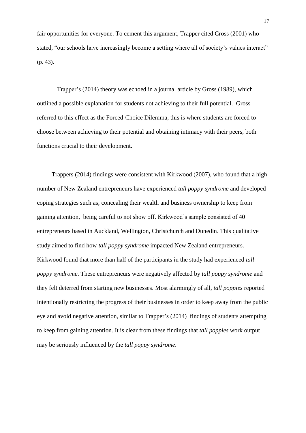fair opportunities for everyone. To cement this argument, Trapper cited Cross (2001) who stated, "our schools have increasingly become a setting where all of society's values interact" (p. 43).

Trapper's (2014) theory was echoed in a journal article by Gross (1989), which outlined a possible explanation for students not achieving to their full potential. Gross referred to this effect as the Forced-Choice Dilemma, this is where students are forced to choose between achieving to their potential and obtaining intimacy with their peers, both functions crucial to their development.

Trappers (2014) findings were consistent with Kirkwood (2007), who found that a high number of New Zealand entrepreneurs have experienced *tall poppy syndrome* and developed coping strategies such as; concealing their wealth and business ownership to keep from gaining attention, being careful to not show off. Kirkwood's sample consisted of 40 entrepreneurs based in Auckland, Wellington, Christchurch and Dunedin. This qualitative study aimed to find how *tall poppy syndrome* impacted New Zealand entrepreneurs. Kirkwood found that more than half of the participants in the study had experienced *tall poppy syndrome*. These entrepreneurs were negatively affected by *tall poppy syndrome* and they felt deterred from starting new businesses. Most alarmingly of all, *tall poppies* reported intentionally restricting the progress of their businesses in order to keep away from the public eye and avoid negative attention, similar to Trapper's (2014) findings of students attempting to keep from gaining attention. It is clear from these findings that *tall poppies* work output may be seriously influenced by the *tall poppy syndrome*.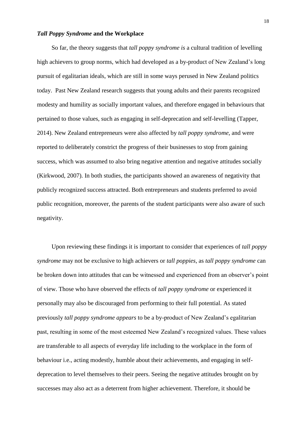#### *Tall Poppy Syndrome* **and the Workplace**

So far, the theory suggests that *tall poppy syndrome is* a cultural tradition of levelling high achievers to group norms, which had developed as a by-product of New Zealand's long pursuit of egalitarian ideals, which are still in some ways perused in New Zealand politics today. Past New Zealand research suggests that young adults and their parents recognized modesty and humility as socially important values, and therefore engaged in behaviours that pertained to those values, such as engaging in self-deprecation and self-levelling (Tapper, 2014). New Zealand entrepreneurs were also affected by *tall poppy syndrome*, and were reported to deliberately constrict the progress of their businesses to stop from gaining success, which was assumed to also bring negative attention and negative attitudes socially (Kirkwood, 2007). In both studies, the participants showed an awareness of negativity that publicly recognized success attracted. Both entrepreneurs and students preferred to avoid public recognition, moreover, the parents of the student participants were also aware of such negativity.

Upon reviewing these findings it is important to consider that experiences of *tall poppy syndrome* may not be exclusive to high achievers or *tall poppies*, as *tall poppy syndrome* can be broken down into attitudes that can be witnessed and experienced from an observer's point of view. Those who have observed the effects of *tall poppy syndrome* or experienced it personally may also be discouraged from performing to their full potential. As stated previously *tall poppy syndrome appears* to be a by-product of New Zealand's egalitarian past, resulting in some of the most esteemed New Zealand's recognized values. These values are transferable to all aspects of everyday life including to the workplace in the form of behaviour i.e., acting modestly, humble about their achievements, and engaging in selfdeprecation to level themselves to their peers. Seeing the negative attitudes brought on by successes may also act as a deterrent from higher achievement. Therefore, it should be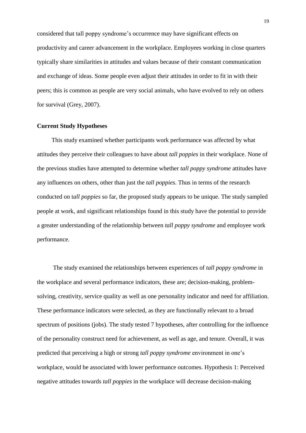considered that tall poppy syndrome's occurrence may have significant effects on productivity and career advancement in the workplace. Employees working in close quarters typically share similarities in attitudes and values because of their constant communication and exchange of ideas. Some people even adjust their attitudes in order to fit in with their peers; this is common as people are very social animals, who have evolved to rely on others for survival (Grey, 2007).

#### **Current Study Hypotheses**

This study examined whether participants work performance was affected by what attitudes they perceive their colleagues to have about *tall poppies* in their workplace. None of the previous studies have attempted to determine whether *tall poppy syndrome* attitudes have any influences on others, other than just the *tall poppies*. Thus in terms of the research conducted on t*all poppies* so far, the proposed study appears to be unique. The study sampled people at work, and significant relationships found in this study have the potential to provide a greater understanding of the relationship between *tall poppy syndrome* and employee work performance.

The study examined the relationships between experiences of *tall poppy syndrome* in the workplace and several performance indicators, these are; decision-making, problemsolving, creativity, service quality as well as one personality indicator and need for affiliation. These performance indicators were selected, as they are functionally relevant to a broad spectrum of positions (jobs). The study tested 7 hypotheses, after controlling for the influence of the personality construct need for achievement, as well as age, and tenure. Overall, it was predicted that perceiving a high or strong *tall poppy syndrome* environment in one's workplace, would be associated with lower performance outcomes. Hypothesis 1: Perceived negative attitudes towards *tall poppies* in the workplace will decrease decision-making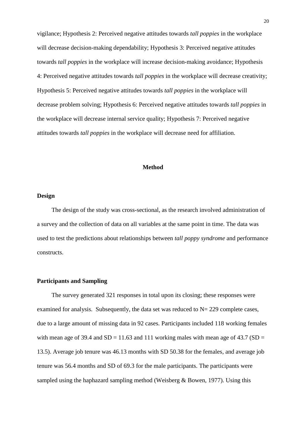vigilance; Hypothesis 2: Perceived negative attitudes towards *tall poppies* in the workplace will decrease decision-making dependability; Hypothesis 3: Perceived negative attitudes towards *tall poppies* in the workplace will increase decision-making avoidance; Hypothesis 4: Perceived negative attitudes towards *tall poppies* in the workplace will decrease creativity; Hypothesis 5: Perceived negative attitudes towards *tall poppies* in the workplace will decrease problem solving; Hypothesis 6: Perceived negative attitudes towards *tall poppies* in the workplace will decrease internal service quality; Hypothesis 7: Perceived negative attitudes towards *tall poppies* in the workplace will decrease need for affiliation.

#### **Method**

## **Design**

The design of the study was cross-sectional, as the research involved administration of a survey and the collection of data on all variables at the same point in time. The data was used to test the predictions about relationships between *tall poppy syndrome* and performance constructs.

# **Participants and Sampling**

The survey generated 321 responses in total upon its closing; these responses were examined for analysis. Subsequently, the data set was reduced to  $N = 229$  complete cases, due to a large amount of missing data in 92 cases. Participants included 118 working females with mean age of 39.4 and  $SD = 11.63$  and 111 working males with mean age of 43.7 ( $SD =$ 13.5). Average job tenure was 46.13 months with SD 50.38 for the females, and average job tenure was 56.4 months and SD of 69.3 for the male participants. The participants were sampled using the haphazard sampling method (Weisberg & Bowen, 1977). Using this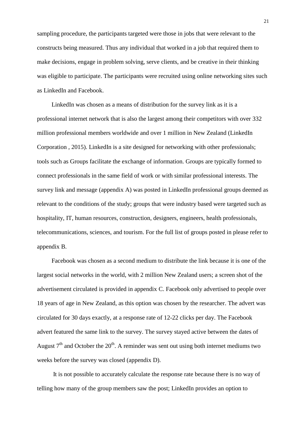sampling procedure, the participants targeted were those in jobs that were relevant to the constructs being measured. Thus any individual that worked in a job that required them to make decisions, engage in problem solving, serve clients, and be creative in their thinking was eligible to participate. The participants were recruited using online networking sites such as LinkedIn and Facebook.

LinkedIn was chosen as a means of distribution for the survey link as it is a professional internet network that is also the largest among their competitors with over 332 million professional members worldwide and over 1 million in New Zealand (LinkedIn Corporation , 2015). LinkedIn is a site designed for networking with other professionals; tools such as Groups facilitate the exchange of information. Groups are typically formed to connect professionals in the same field of work or with similar professional interests. The survey link and message (appendix A) was posted in LinkedIn professional groups deemed as relevant to the conditions of the study; groups that were industry based were targeted such as hospitality, IT, human resources, construction, designers, engineers, health professionals, telecommunications, sciences, and tourism. For the full list of groups posted in please refer to appendix B.

Facebook was chosen as a second medium to distribute the link because it is one of the largest social networks in the world, with 2 million New Zealand users; a screen shot of the advertisement circulated is provided in appendix C. Facebook only advertised to people over 18 years of age in New Zealand, as this option was chosen by the researcher. The advert was circulated for 30 days exactly, at a response rate of 12-22 clicks per day. The Facebook advert featured the same link to the survey. The survey stayed active between the dates of August  $7<sup>th</sup>$  and October the 20<sup>th</sup>. A reminder was sent out using both internet mediums two weeks before the survey was closed (appendix D).

It is not possible to accurately calculate the response rate because there is no way of telling how many of the group members saw the post; LinkedIn provides an option to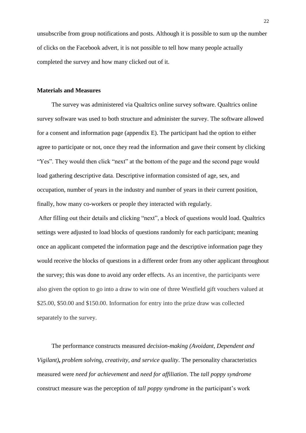unsubscribe from group notifications and posts. Although it is possible to sum up the number of clicks on the Facebook advert, it is not possible to tell how many people actually completed the survey and how many clicked out of it.

#### **Materials and Measures**

The survey was administered via Qualtrics online survey software. Qualtrics online survey software was used to both structure and administer the survey. The software allowed for a consent and information page (appendix E). The participant had the option to either agree to participate or not, once they read the information and gave their consent by clicking "Yes". They would then click "next" at the bottom of the page and the second page would load gathering descriptive data. Descriptive information consisted of age, sex, and occupation, number of years in the industry and number of years in their current position, finally, how many co-workers or people they interacted with regularly.

After filling out their details and clicking "next", a block of questions would load. Qualtrics settings were adjusted to load blocks of questions randomly for each participant; meaning once an applicant competed the information page and the descriptive information page they would receive the blocks of questions in a different order from any other applicant throughout the survey; this was done to avoid any order effects. As an incentive, the participants were also given the option to go into a draw to win one of three Westfield gift vouchers valued at \$25.00, \$50.00 and \$150.00. Information for entry into the prize draw was collected separately to the survey.

The performance constructs measured *decision-making (Avoidant, Dependent and Vigilant)***,** *problem solving, creativity, and service quality*. The personality characteristics measured were *need for achievement* and *need for affiliation*. The *tall poppy syndrome* construct measure was the perception of *tall poppy syndrome* in the participant's work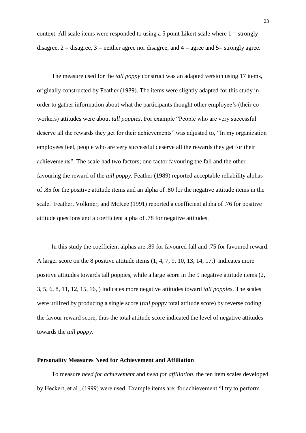context. All scale items were responded to using a 5 point Likert scale where  $1 =$  strongly disagree,  $2 =$  disagree,  $3 =$  neither agree nor disagree, and  $4 =$  agree and  $5 =$  strongly agree.

The measure used for the *tall poppy* construct was an adapted version using 17 items, originally constructed by Feather (1989). The items were slightly adapted for this study in order to gather information about what the participants thought other employee's (their coworkers) attitudes were about *tall poppies*. For example "People who are very successful deserve all the rewards they get for their achievements" was adjusted to, "In my organization employees feel, people who are very successful deserve all the rewards they get for their achievements". The scale had two factors; one factor favouring the fall and the other favouring the reward of the *tall poppy*. Feather (1989) reported acceptable reliability alphas of .85 for the positive attitude items and an alpha of .80 for the negative attitude items in the scale. Feather, Volkmer, and McKee (1991) reported a coefficient alpha of .76 for positive attitude questions and a coefficient alpha of .78 for negative attitudes.

In this study the coefficient alphas are .89 for favoured fall and .75 for favoured reward. A larger score on the 8 positive attitude items (1, 4, 7, 9, 10, 13, 14, 17,) indicates more positive attitudes towards tall poppies, while a large score in the 9 negative attitude items (2, 3, 5, 6, 8, 11, 12, 15, 16, ) indicates more negative attitudes toward *tall poppies*. The scales were utilized by producing a single score (*tall poppy* total attitude score) by reverse coding the favour reward score, thus the total attitude score indicated the level of negative attitudes towards the *tall poppy*.

## **Personality Measures Need for Achievement and Affiliation**

To measure *need for achievement* and *need for affiliation*, the ten item scales developed by Heckert, et al., (1999) were used. Example items are; for achievement "I try to perform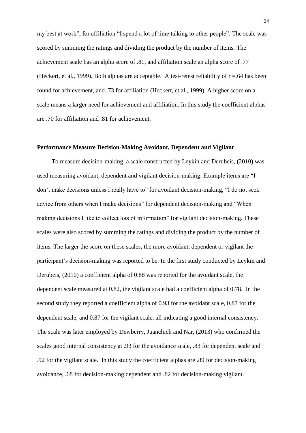my best at work", for affiliation "I spend a lot of time talking to other people". The scale was scored by summing the ratings and dividing the product by the number of items. The achievement scale has an alpha score of .81, and affiliation scale an alpha score of .77 (Heckert, et al., 1999). Both alphas are acceptable. A test-retest reliability of  $r = .64$  has been found for achievement, and .73 for affiliation (Heckert, et al., 1999). A higher score on a scale means a larger need for achievement and affiliation. In this study the coefficient alphas are .70 for affiliation and .81 for achievement.

#### **Performance Measure Decision-Making Avoidant, Dependent and Vigilant**

To measure decision-making, a scale constructed by Leykin and Derubeis, (2010) was used measuring avoidant, dependent and vigilant decision-making. Example items are "I don't make decisions unless I really have to" for avoidant decision-making, "I do not seek advice from others when I make decisions" for dependent decision-making and "When making decisions I like to collect lots of information" for vigilant decision-making. These scales were also scored by summing the ratings and dividing the product by the number of items. The larger the score on these scales, the more avoidant, dependent or vigilant the participant's decision-making was reported to be. In the first study conducted by Leykin and Derubeis, (2010) a coefficient alpha of 0.88 was reported for the avoidant scale, the dependent scale measured at 0.82, the vigilant scale had a coefficient alpha of 0.78. In the second study they reported a coefficient alpha of 0.93 for the avoidant scale, 0.87 for the dependent scale, and 0.87 for the vigilant scale, all indicating a good internal consistency. The scale was later employed by Dewberry, Juanchich and Nar, (2013) who confirmed the scales good internal consistency at .93 for the avoidance scale, .83 for dependent scale and .92 for the vigilant scale. In this study the coefficient alphas are .89 for decision-making avoidance, .68 for decision-making dependent and .82 for decision-making vigilant.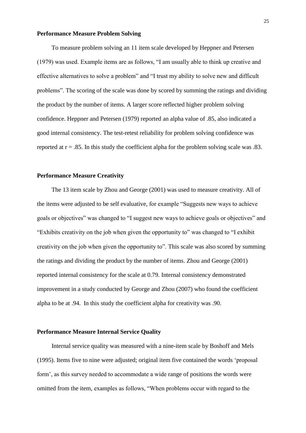#### **Performance Measure Problem Solving**

To measure problem solving an 11 item scale developed by Heppner and Petersen (1979) was used. Example items are as follows, "I am usually able to think up creative and effective alternatives to solve a problem" and "I trust my ability to solve new and difficult problems". The scoring of the scale was done by scored by summing the ratings and dividing the product by the number of items. A larger score reflected higher problem solving confidence. Heppner and Petersen (1979) reported an alpha value of .85, also indicated a good internal consistency. The test-retest reliability for problem solving confidence was reported at  $r = .85$ . In this study the coefficient alpha for the problem solving scale was  $.83$ .

#### **Performance Measure Creativity**

The 13 item scale by Zhou and George (2001) was used to measure creativity. All of the items were adjusted to be self evaluative, for example "Suggests new ways to achieve goals or objectives" was changed to "I suggest new ways to achieve goals or objectives" and "Exhibits creativity on the job when given the opportunity to" was changed to "I exhibit creativity on the job when given the opportunity to". This scale was also scored by summing the ratings and dividing the product by the number of items. Zhou and George (2001) reported internal consistency for the scale at 0.79. Internal consistency demonstrated improvement in a study conducted by George and Zhou (2007) who found the coefficient alpha to be at .94. In this study the coefficient alpha for creativity was .90.

## **Performance Measure Internal Service Quality**

Internal service quality was measured with a nine-item scale by Boshoff and Mels (1995). Items five to nine were adjusted; original item five contained the words 'proposal form', as this survey needed to accommodate a wide range of positions the words were omitted from the item, examples as follows, "When problems occur with regard to the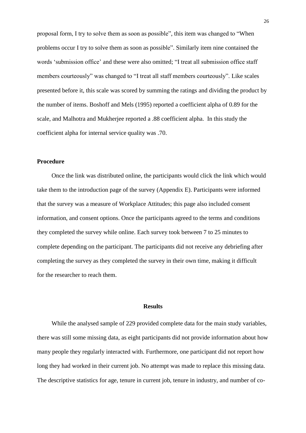proposal form, I try to solve them as soon as possible", this item was changed to "When problems occur I try to solve them as soon as possible". Similarly item nine contained the words 'submission office' and these were also omitted; "I treat all submission office staff members courteously" was changed to "I treat all staff members courteously". Like scales presented before it, this scale was scored by summing the ratings and dividing the product by the number of items. Boshoff and Mels (1995) reported a coefficient alpha of 0.89 for the scale, and Malhotra and Mukherjee reported a .88 coefficient alpha. In this study the coefficient alpha for internal service quality was .70.

# **Procedure**

Once the link was distributed online, the participants would click the link which would take them to the introduction page of the survey (Appendix E). Participants were informed that the survey was a measure of Workplace Attitudes; this page also included consent information, and consent options. Once the participants agreed to the terms and conditions they completed the survey while online. Each survey took between 7 to 25 minutes to complete depending on the participant. The participants did not receive any debriefing after completing the survey as they completed the survey in their own time, making it difficult for the researcher to reach them.

# **Results**

While the analysed sample of 229 provided complete data for the main study variables, there was still some missing data, as eight participants did not provide information about how many people they regularly interacted with. Furthermore, one participant did not report how long they had worked in their current job. No attempt was made to replace this missing data. The descriptive statistics for age, tenure in current job, tenure in industry, and number of co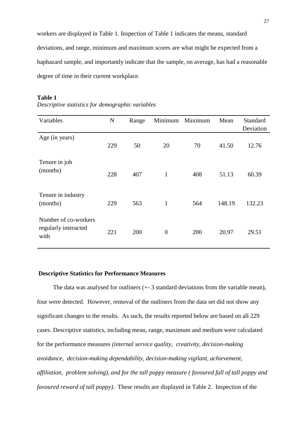workers are displayed in Table 1. Inspection of Table 1 indicates the means, standard deviations, and range, minimum and maximum scores are what might be expected from a haphazard sample, and importantly indicate that the sample, on average, has had a reasonable degree of time in their current workplace.

## **Table 1**

| Descriptive statistics for demographic variables |  |  |  |
|--------------------------------------------------|--|--|--|
|                                                  |  |  |  |

| Variables                                            | N   | Range | Minimum        | Maximum | Mean   | Standard<br>Deviation |
|------------------------------------------------------|-----|-------|----------------|---------|--------|-----------------------|
| Age (in years)                                       | 229 | 50    | 20             | 70      | 41.50  | 12.76                 |
| Tenure in job<br>(months)                            | 228 | 407   | $\mathbf{1}$   | 408     | 51.13  | 60.39                 |
| Tenure in industry<br>(months)                       | 229 | 563   | $\mathbf{1}$   | 564     | 148.19 | 132.23                |
| Number of co-workers<br>regularly interacted<br>with | 221 | 200   | $\overline{0}$ | 200     | 20.97  | 29.51                 |

## **Descriptive Statistics for Performance Measures**

The data was analysed for outliners (+- 3 standard deviations from the variable mean), four were detected. However, removal of the outliners from the data set did not show any significant changes to the results. As such, the results reported below are based on all 229 cases. Descriptive statistics, including mean, range, maximum and medium were calculated for the performance measures *(internal service quality*, *creativity*, *decision-making avoidance*, *decision-making dependability*, *decision-making vigilant*, *achievement*, *affiliation*, *problem solving), and for the tall poppy measure ( favoured fall of tall poppy and favoured reward of tall poppy)*. These results are displayed in Table 2. Inspection of the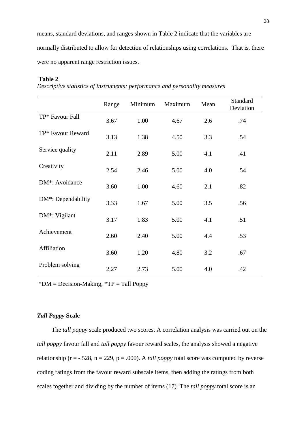means, standard deviations, and ranges shown in Table 2 indicate that the variables are normally distributed to allow for detection of relationships using correlations. That is, there were no apparent range restriction issues.

## **Table 2**

*Descriptive statistics of instruments: performance and personality measures* 

|                                 | Range | Minimum | Maximum | Mean | Standard<br>Deviation |
|---------------------------------|-------|---------|---------|------|-----------------------|
| TP* Favour Fall                 | 3.67  | 1.00    | 4.67    | 2.6  | .74                   |
| TP* Favour Reward               | 3.13  | 1.38    | 4.50    | 3.3  | .54                   |
| Service quality                 | 2.11  | 2.89    | 5.00    | 4.1  | .41                   |
| Creativity                      | 2.54  | 2.46    | 5.00    | 4.0  | .54                   |
| DM*: Avoidance                  | 3.60  | 1.00    | 4.60    | 2.1  | .82                   |
| DM <sup>*</sup> : Dependability | 3.33  | 1.67    | 5.00    | 3.5  | .56                   |
| DM <sup>*</sup> : Vigilant      | 3.17  | 1.83    | 5.00    | 4.1  | .51                   |
| Achievement                     | 2.60  | 2.40    | 5.00    | 4.4  | .53                   |
| Affiliation                     | 3.60  | 1.20    | 4.80    | 3.2  | .67                   |
| Problem solving                 | 2.27  | 2.73    | 5.00    | 4.0  | .42                   |

 $*DM = Decision-Making, *TP = Tall Poppy$ 

# *Tall Poppy* **Scale**

The *tall poppy* scale produced two scores. A correlation analysis was carried out on the *tall poppy* favour fall and *tall poppy* favour reward scales, the analysis showed a negative relationship ( $r = -0.528$ ,  $n = 229$ ,  $p = 0.000$ ). A *tall poppy* total score was computed by reverse coding ratings from the favour reward subscale items, then adding the ratings from both scales together and dividing by the number of items (17). The *tall poppy* total score is an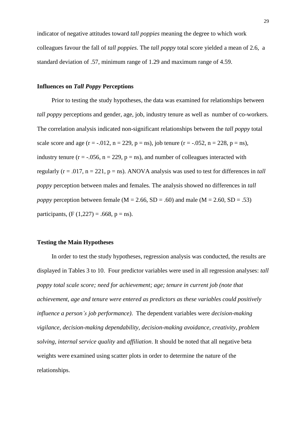indicator of negative attitudes toward *tall poppies* meaning the degree to which work colleagues favour the fall of *tall poppies*. The *tall poppy* total score yielded a mean of 2.6, a standard deviation of .57, minimum range of 1.29 and maximum range of 4.59.

#### **Influences on** *Tall Poppy* **Perceptions**

Prior to testing the study hypotheses, the data was examined for relationships between *tall poppy* perceptions and gender, age, job, industry tenure as well as number of co-workers. The correlation analysis indicated non-significant relationships between the *tall poppy* total scale score and age  $(r = -0.012, n = 229, p = ns)$ , job tenure  $(r = -0.052, n = 228, p = ns)$ , industry tenure ( $r = -0.056$ ,  $n = 229$ ,  $p = ns$ ), and number of colleagues interacted with regularly ( $r = .017$ ,  $n = 221$ ,  $p = ns$ ). ANOVA analysis was used to test for differences in *tall poppy* perception between males and females. The analysis showed no differences in *tall poppy* perception between female ( $M = 2.66$ ,  $SD = .60$ ) and male ( $M = 2.60$ ,  $SD = .53$ ) participants,  $(F (1,227) = .668, p = ns)$ .

#### **Testing the Main Hypotheses**

In order to test the study hypotheses, regression analysis was conducted, the results are displayed in Tables 3 to 10. Four predictor variables were used in all regression analyses: *tall poppy total scale score; need for achievement; age; tenure in current job (note that achievement, age and tenure were entered as predictors as these variables could positively influence a person's job performance)*. The dependent variables were *decision-making vigilance, decision-making dependability, decision-making avoidance*, *creativity*, *problem solving, internal service quality* and *affiliation*. It should be noted that all negative beta weights were examined using scatter plots in order to determine the nature of the relationships.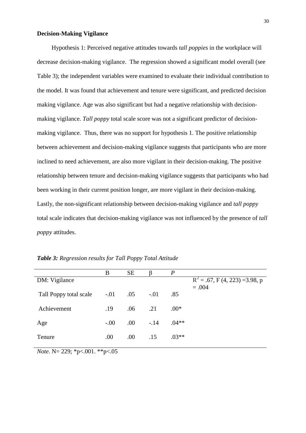## **Decision-Making Vigilance**

Hypothesis 1: Perceived negative attitudes towards *tall poppies* in the workplace will decrease decision-making vigilance. The regression showed a significant model overall (see Table 3); the independent variables were examined to evaluate their individual contribution to the model. It was found that achievement and tenure were significant, and predicted decision making vigilance. Age was also significant but had a negative relationship with decisionmaking vigilance. *Tall poppy* total scale score was not a significant predictor of decisionmaking vigilance. Thus, there was no support for hypothesis 1. The positive relationship between achievement and decision-making vigilance suggests that participants who are more inclined to need achievement, are also more vigilant in their decision-making. The positive relationship between tenure and decision-making vigilance suggests that participants who had been working in their current position longer, are more vigilant in their decision-making. Lastly, the non-significant relationship between decision-making vigilance and *tall poppy* total scale indicates that decision-making vigilance was not influenced by the presence of *tall poppy* attitudes.

|                        | B       | <b>SE</b> |        | $\boldsymbol{P}$ |                                   |
|------------------------|---------|-----------|--------|------------------|-----------------------------------|
| DM: Vigilance          |         |           |        |                  | $R^2 = .67$ , F (4, 223) =3.98, p |
|                        |         |           |        |                  | $=.004$                           |
| Tall Poppy total scale | $-0.01$ | .05       | $-.01$ | .85              |                                   |
|                        |         |           |        |                  |                                   |
| Achievement            | .19     | .06       | .21    | $.00*$           |                                   |
|                        |         |           |        |                  |                                   |
| Age                    | $-.00$  | $.00\,$   | $-.14$ | $.04**$          |                                   |
|                        |         |           |        |                  |                                   |
| Tenure                 | .00     | .00.      | .15    | $.03**$          |                                   |
|                        |         |           |        |                  |                                   |

*Table 3: Regression results for Tall Poppy Total Attitude*

*Note*. N= 229; \*p<.001. \*\*p<.05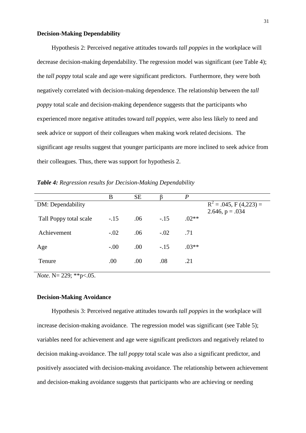## **Decision-Making Dependability**

Hypothesis 2: Perceived negative attitudes towards *tall poppies* in the workplace will decrease decision-making dependability. The regression model was significant (see Table 4); the *tall poppy* total scale and age were significant predictors. Furthermore, they were both negatively correlated with decision-making dependence. The relationship between the *tall poppy* total scale and decision-making dependence suggests that the participants who experienced more negative attitudes toward *tall poppies*, were also less likely to need and seek advice or support of their colleagues when making work related decisions. The significant age results suggest that younger participants are more inclined to seek advice from their colleagues. Thus, there was support for hypothesis 2.

*Table 4: Regression results for Decision-Making Dependability*

|                        | B      | <b>SE</b> |        | P       |                            |
|------------------------|--------|-----------|--------|---------|----------------------------|
| DM: Dependability      |        |           |        |         | $R^2 = .045$ , F (4,223) = |
|                        |        |           |        |         | 2.646, $p = .034$          |
| Tall Poppy total scale | $-.15$ | .06       | $-.15$ | $.02**$ |                            |
|                        |        |           |        |         |                            |
| Achievement            | $-.02$ | .06       | $-.02$ | .71     |                            |
|                        |        |           |        |         |                            |
| Age                    | $-.00$ | .00       | $-.15$ | $.03**$ |                            |
|                        |        |           |        |         |                            |
| Tenure                 | .00    | .00       | .08    | .21     |                            |

*Note*. N= 229; \*\*p<.05.

# **Decision-Making Avoidance**

Hypothesis 3: Perceived negative attitudes towards *tall poppies* in the workplace will increase decision-making avoidance. The regression model was significant (see Table 5); variables need for achievement and age were significant predictors and negatively related to decision making-avoidance. The *tall poppy* total scale was also a significant predictor, and positively associated with decision-making avoidance. The relationship between achievement and decision-making avoidance suggests that participants who are achieving or needing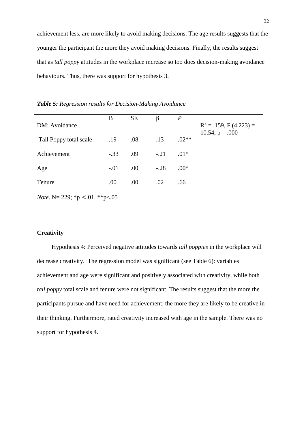achievement less, are more likely to avoid making decisions. The age results suggests that the younger the participant the more they avoid making decisions. Finally, the results suggest that as *tall poppy* attitudes in the workplace increase so too does decision-making avoidance behaviours. Thus, there was support for hypothesis 3.

|                        | B      | <b>SE</b> |         | P       |                            |
|------------------------|--------|-----------|---------|---------|----------------------------|
| DM: Avoidance          |        |           |         |         | $R^2 = .159$ , F (4,223) = |
| Tall Poppy total scale | .19    | .08       | .13     | $.02**$ | 10.54, $p = .000$          |
| Achievement            | $-.33$ | .09       | $-.21$  | $.01*$  |                            |
| Age                    | $-.01$ | .00.      | $-.28$  | $.00*$  |                            |
| Tenure                 | .00    | .00       | $.02\,$ | .66     |                            |

*Table 5: Regression results for Decision-Making Avoidance*

*Note*. N= 229; \*p  $\leq$ .01. \*\*p<.05

#### **Creativity**

Hypothesis 4: Perceived negative attitudes towards *tall poppies* in the workplace will decrease creativity. The regression model was significant (see Table 6): variables achievement and age were significant and positively associated with creativity, while both *tall poppy* total scale and tenure were not significant. The results suggest that the more the participants pursue and have need for achievement, the more they are likely to be creative in their thinking. Furthermore, rated creativity increased with age in the sample. There was no support for hypothesis 4.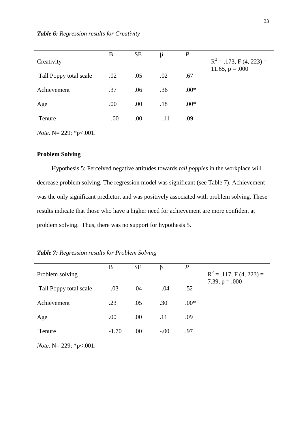|                        | B      | <b>SE</b> |        | $\boldsymbol{P}$ |                             |
|------------------------|--------|-----------|--------|------------------|-----------------------------|
| Creativity             |        |           |        |                  | $R^2 = .173$ , F (4, 223) = |
|                        |        |           |        |                  | 11.65, $p = .000$           |
| Tall Poppy total scale | .02    | .05       | .02    | .67              |                             |
|                        |        |           |        |                  |                             |
| Achievement            | .37    | .06       | .36    | $.00*$           |                             |
|                        |        |           |        |                  |                             |
| Age                    | .00    | .00       | .18    | $.00*$           |                             |
| Tenure                 | $-.00$ | .00       | $-.11$ | .09              |                             |
|                        |        |           |        |                  |                             |

*Note*. N= 229; \*p<.001.

# **Problem Solving**

Hypothesis 5: Perceived negative attitudes towards *tall poppies* in the workplace will decrease problem solving. The regression model was significant (see Table 7). Achievement was the only significant predictor, and was positively associated with problem solving. These results indicate that those who have a higher need for achievement are more confident at problem solving. Thus, there was no support for hypothesis 5.

*Table 7: Regression results for Problem Solving*

|                        | B       | <b>SE</b> |        | $\boldsymbol{P}$ |                             |
|------------------------|---------|-----------|--------|------------------|-----------------------------|
| Problem solving        |         |           |        |                  | $R^2 = .117$ , F (4, 223) = |
|                        |         |           |        |                  | 7.39, $p = .000$            |
| Tall Poppy total scale | $-.03$  | .04       | $-.04$ | .52              |                             |
|                        |         |           |        |                  |                             |
| Achievement            | .23     | .05       | .30    | $.00*$           |                             |
|                        |         |           |        |                  |                             |
| Age                    | .00     | .00.      | .11    | .09              |                             |
|                        |         |           |        |                  |                             |
| Tenure                 | $-1.70$ | .00       | $-.00$ | .97              |                             |
|                        |         |           |        |                  |                             |

*Note*. N= 229; \*p<.001.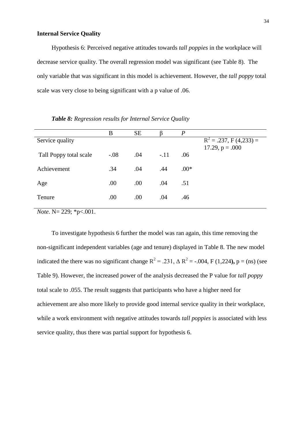# **Internal Service Quality**

Hypothesis 6: Perceived negative attitudes towards *tall poppies* in the workplace will decrease service quality. The overall regression model was significant (see Table 8). The only variable that was significant in this model is achievement. However, the *tall poppy* total scale was very close to being significant with a p value of .06.

|                        | B      | <b>SE</b> |        | $\overline{P}$ |                                                 |
|------------------------|--------|-----------|--------|----------------|-------------------------------------------------|
| Service quality        |        |           |        |                | $R^2 = .237$ , F (4,233) =<br>17.29, $p = .000$ |
| Tall Poppy total scale | $-.08$ | .04       | $-.11$ | .06            |                                                 |
| Achievement            | .34    | .04       | .44    | $.00*$         |                                                 |
| Age                    | .00    | .00       | .04    | .51            |                                                 |
| Tenure                 | .00    | .00       | .04    | .46            |                                                 |

*Table 8: Regression results for Internal Service Quality* 

*Note*. N= 229; \*p<.001.

To investigate hypothesis 6 further the model was ran again, this time removing the non-significant independent variables (age and tenure) displayed in Table 8. The new model indicated the there was no significant change  $R^2 = .231$ ,  $\Delta R^2 = -.004$ , F (1,224), p = (ns) (see Table 9). However, the increased power of the analysis decreased the P value for *tall poppy* total scale to .055. The result suggests that participants who have a higher need for achievement are also more likely to provide good internal service quality in their workplace, while a work environment with negative attitudes towards *tall poppies* is associated with less service quality, thus there was partial support for hypothesis 6.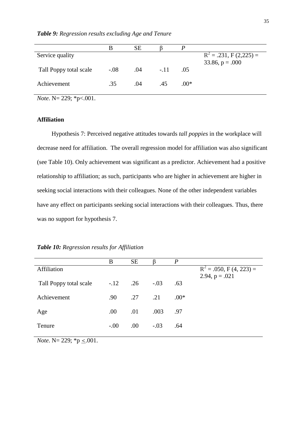*Table 9: Regression results excluding Age and Tenure*

|                        | B      | SЕ  |        |        |                            |
|------------------------|--------|-----|--------|--------|----------------------------|
| Service quality        |        |     |        |        | $R^2 = .231$ , F (2,225) = |
|                        |        |     |        |        | $33.86, p = .000$          |
| Tall Poppy total scale | $-.08$ | .04 | $-.11$ | .05    |                            |
|                        |        |     |        |        |                            |
| Achievement            | .35    | .04 | .45    | $.00*$ |                            |
|                        |        |     |        |        |                            |

*Note*. N= 229; \*p<.001.

## **Affiliation**

Hypothesis 7: Perceived negative attitudes towards *tall poppies* in the workplace will decrease need for affiliation. The overall regression model for affiliation was also significant (see Table 10). Only achievement was significant as a predictor. Achievement had a positive relationship to affiliation; as such, participants who are higher in achievement are higher in seeking social interactions with their colleagues. None of the other independent variables have any effect on participants seeking social interactions with their colleagues. Thus, there was no support for hypothesis 7.

|  | Table 10: Regression results for Affiliation |  |  |
|--|----------------------------------------------|--|--|
|--|----------------------------------------------|--|--|

|                        | B                | <b>SE</b>        |        | P      |                             |
|------------------------|------------------|------------------|--------|--------|-----------------------------|
| Affiliation            |                  |                  |        |        | $R^2 = .050$ , F (4, 223) = |
| Tall Poppy total scale | $-.12$ .26       |                  | $-.03$ | .63    | 2.94, $p = .021$            |
| Achievement            | .90 <sub>1</sub> | $.27 \qquad .21$ |        | $.00*$ |                             |
| Age                    | .00.             | .01              | .003   | .97    |                             |
| Tenure                 | $-0.00$          | $.00\,$          | $-.03$ | .64    |                             |
|                        |                  |                  |        |        |                             |

*Note*. N= 229;  ${}^*p \leq .001$ .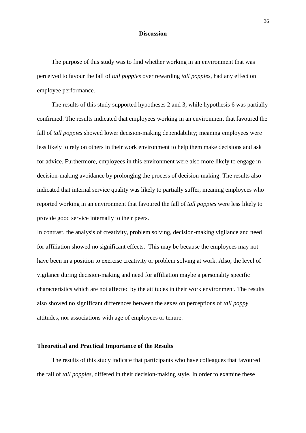#### **Discussion**

The purpose of this study was to find whether working in an environment that was perceived to favour the fall of *tall poppies* over rewarding *tall poppies*, had any effect on employee performance.

The results of this study supported hypotheses 2 and 3, while hypothesis 6 was partially confirmed. The results indicated that employees working in an environment that favoured the fall of *tall poppies* showed lower decision-making dependability; meaning employees were less likely to rely on others in their work environment to help them make decisions and ask for advice. Furthermore, employees in this environment were also more likely to engage in decision-making avoidance by prolonging the process of decision-making. The results also indicated that internal service quality was likely to partially suffer, meaning employees who reported working in an environment that favoured the fall of *tall poppies* were less likely to provide good service internally to their peers.

In contrast, the analysis of creativity, problem solving, decision-making vigilance and need for affiliation showed no significant effects. This may be because the employees may not have been in a position to exercise creativity or problem solving at work. Also, the level of vigilance during decision-making and need for affiliation maybe a personality specific characteristics which are not affected by the attitudes in their work environment. The results also showed no significant differences between the sexes on perceptions of *tall poppy* attitudes, nor associations with age of employees or tenure.

# **Theoretical and Practical Importance of the Results**

The results of this study indicate that participants who have colleagues that favoured the fall of *tall poppies,* differed in their decision-making style. In order to examine these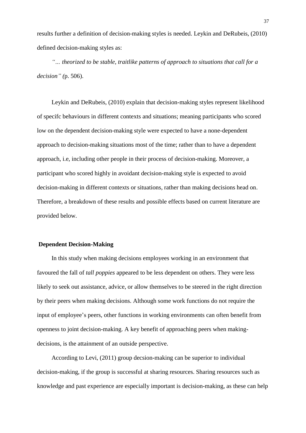results further a definition of decision-making styles is needed. Leykin and DeRubeis, (2010) defined decision-making styles as:

*"… theorized to be stable, traitlike patterns of approach to situations that call for a decision" (*p. 506).

Leykin and DeRubeis, (2010) explain that decision-making styles represent likelihood of specifc behaviours in different contexts and situations; meaning participants who scored low on the dependent decision-making style were expected to have a none-dependent approach to decision-making situations most of the time; rather than to have a dependent approach, i.e, including other people in their process of decision-making. Moreover, a participant who scored highly in avoidant decision-making style is expected to avoid decision-making in different contexts or situations, rather than making decisions head on. Therefore, a breakdown of these results and possible effects based on current literature are provided below.

## **Dependent Decision-Making**

In this study when making decisions employees working in an environment that favoured the fall of *tall poppies* appeared to be less dependent on others. They were less likely to seek out assistance, advice, or allow themselves to be steered in the right direction by their peers when making decisions. Although some work functions do not require the input of employee's peers, other functions in working environments can often benefit from openness to joint decision-making. A key benefit of approaching peers when makingdecisions, is the attainment of an outside perspective.

According to Levi, (2011) group decsion-making can be superior to individual decision-making, if the group is successful at sharing resources. Sharing resources such as knowledge and past experience are especially important is decision-making, as these can help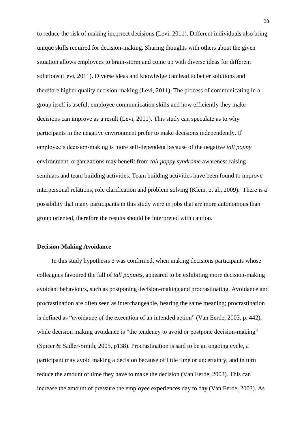to reduce the risk of making incorrect decisions (Levi, 2011). Different individuals also bring unique skills required for decision-making. Sharing thoughts with others about the given situation allows employees to brain-storm and come up with diverse ideas for different solutions (Levi, 2011). Diverse ideas and knowledge can lead to better solutions and therefore higher quality decision-making (Levi, 2011). The process of communicating in a group itself is useful; employee communication skills and how efficiently they make decisions can improve as a result (Levi, 2011). This study can speculate as to why participants in the negative environment prefer to make decisions independently. If employee's decision-making is more self-dependent because of the negative *tall poppy*  environment, organizations may benefit from *tall poppy syndrome* awareness raising seminars and team building activities. Team building activities have been found to improve interpersonal relations, role clarification and problem solving (Klein, et al., 2009). There is a possibility that many participants in this study were in jobs that are more autonomous than group oriented, therefore the results should be interpreted with caution.

## **Decision-Making Avoidance**

In this study hypothesis 3 was confirmed, when making decisions participants whose colleagues favoured the fall of *tall poppies*, appeared to be exhibiting more decision-making avoidant behaviours, such as postponing decision-making and procrastinating. Avoidance and procrastination are often seen as interchangeable, bearing the same meaning; procrastination is defined as "avoidance of the execution of an intended action" (Van Eerde, 2003, p. 442), while decision making avoidance is "the tendency to avoid or postpone decision-making" (Spicer & Sadler-Smith, 2005, p138). Procrastination is said to be an ongoing cycle, a participant may avoid making a decision because of little time or uncertainty, and in turn reduce the amount of time they have to make the decision (Van Eerde, 2003). This can increase the amount of pressure the employee experiences day to day (Van Eerde, 2003). As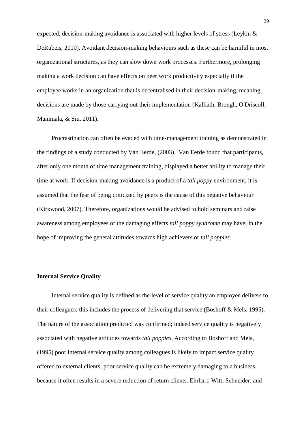expected, decision-making avoidance is associated with higher levels of stress (Leykin & DeRubeis, 2010). Avoidant decision-making behaviours such as these can be harmful in most organizational structures, as they can slow down work processes. Furthermore, prolonging making a work decision can have effects on peer work productivity especially if the employee works in an organization that is decentralised in their decision-making, meaning decisions are made by those carrying out their implementation (Kalliath, Brough, O'Driscoll, Manimala, & Siu, 2011).

Procrastination can often be evaded with time-management training as demonstrated in the findings of a study conducted by Van Eerde, (2003). Van Eerde found that participants, after only one month of time management training, displayed a better ability to manage their time at work. If decision-making avoidance is a product of a *tall poppy* environment, it is assumed that the fear of being criticized by peers is the cause of this negative behaviour (Kirkwood, 2007). Therefore, organizations would be advised to hold seminars and raise awareness among employees of the damaging effects *tall poppy syndrome* may have, in the hope of improving the general attitudes towards high achievers or *tall poppies*.

#### **Internal Service Quality**

Internal service quality is defined as the level of service quality an employee delivers to their colleagues; this includes the process of delivering that service (Boshoff & Mels, 1995). The nature of the association predicted was confirmed; indeed service quality is negatively associated with negative attitudes towards *tall poppies*. According to Boshoff and Mels, (1995) poor internal service quality among colleagues is likely to impact service quality offered to external clients; poor service quality can be extremely damaging to a business, because it often results in a severe reduction of return clients. Ehrhart, Witt, Schneider, and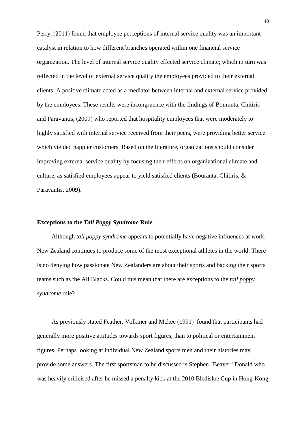Perry, (2011) found that employee perceptions of internal service quality was an important catalyst in relation to how different branches operated within one financial service organization. The level of internal service quality effected service climate; which in turn was reflected in the level of external service quality the employees provided to their external clients. A positive climate acted as a mediator between internal and external service provided by the employees. These results were incongruence with the findings of Bouranta, Chitiris and Paravantis, (2009) who reported that hospitality employees that were moderately to highly satisfied with internal service received from their peers, were providing better service which yielded happier customers. Based on the literature, organizations should consider improving external service quality by focusing their efforts on organizational climate and culture, as satisfied employees appear to yield satisfied clients (Bouranta, Chitiris, & Paravantis, 2009).

#### **Exceptions to the** *Tall Poppy Syndrome* **Rule**

Although *tall poppy syndrome* appears to potentially have negative influences at work, New Zealand continues to produce some of the most exceptional athletes in the world. There is no denying how passionate New Zealanders are about their sports and backing their sports teams such as the All Blacks. Could this mean that there are exceptions to the *tall poppy syndrome* rule?

As previously stated Feather, Volkmer and Mckee (1991) found that participants had generally more positive attitudes towards sport figures, than to political or entertainment figures. Perhaps looking at individual New Zealand sports men and their histories may provide some answers. The first sportsman to be discussed is Stephen "Beaver" Donald who was heavily criticised after he missed a penalty kick at the 2010 Bledisloe Cup in Hong-Kong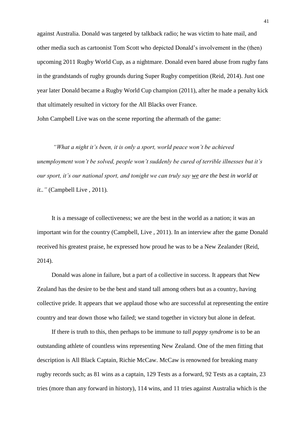against Australia. Donald was targeted by talkback radio; he was victim to hate mail, and other media such as cartoonist Tom Scott who depicted Donald's involvement in the (then) upcoming 2011 Rugby World Cup, as a nightmare. Donald even bared abuse from rugby fans in the grandstands of rugby grounds during Super Rugby competition (Reid, 2014). Just one year later Donald became a Rugby World Cup champion (2011), after he made a penalty kick that ultimately resulted in victory for the All Blacks over France.

John Campbell Live was on the scene reporting the aftermath of the game:

*"What a night it's been, it is only a sport, world peace won't be achieved unemployment won't be solved, people won't suddenly be cured of terrible illnesses but it's our sport, it's our national sport, and tonight we can truly say we are the best in world at it.."* (Campbell Live , 2011)*.*

It is a message of collectiveness; we are the best in the world as a nation; it was an important win for the country (Campbell, Live , 2011). In an interview after the game Donald received his greatest praise, he expressed how proud he was to be a New Zealander (Reid, 2014).

Donald was alone in failure, but a part of a collective in success. It appears that New Zealand has the desire to be the best and stand tall among others but as a country, having collective pride. It appears that we applaud those who are successful at representing the entire country and tear down those who failed; we stand together in victory but alone in defeat.

If there is truth to this, then perhaps to be immune to *tall poppy syndrome* is to be an outstanding athlete of countless wins representing New Zealand. One of the men fitting that description is All Black Captain, Richie McCaw. McCaw is renowned for breaking many rugby records such; as 81 wins as a captain, 129 Tests as a forward, 92 Tests as a captain, 23 tries (more than any forward in history), 114 wins, and 11 tries against Australia which is the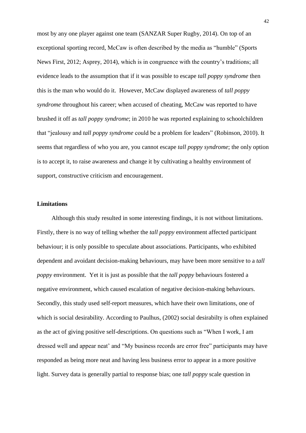most by any one player against one team (SANZAR Super Rugby, 2014). On top of an exceptional sporting record, McCaw is often described by the media as "humble" (Sports News First, 2012; Asprey, 2014), which is in congruence with the country's traditions; all evidence leads to the assumption that if it was possible to escape *tall poppy syndrome* then this is the man who would do it. However, McCaw displayed awareness of *tall poppy syndrome* throughout his career; when accused of cheating, McCaw was reported to have brushed it off as *tall poppy syndrome*; in 2010 he was reported explaining to schoolchildren that "jealousy and *tall poppy syndrome* could be a problem for leaders" (Robinson, 2010). It seems that regardless of who you are, you cannot escape *tall poppy syndrome*; the only option is to accept it, to raise awareness and change it by cultivating a healthy environment of support, constructive criticism and encouragement.

## **Limitations**

Although this study resulted in some interesting findings, it is not without limitations. Firstly, there is no way of telling whether the *tall poppy* environment affected participant behaviour; it is only possible to speculate about associations. Participants, who exhibited dependent and avoidant decision-making behaviours, may have been more sensitive to a *tall poppy* environment. Yet it is just as possible that the *tall poppy* behaviours fostered a negative environment, which caused escalation of negative decision-making behaviours. Secondly, this study used self-report measures, which have their own limitations, one of which is social desirability. According to Paulhus, (2002) social desirabilty is often explained as the act of giving positive self-descriptions. On questions such as "When I work, I am dressed well and appear neat' and "My business records are error free" participants may have responded as being more neat and having less business error to appear in a more positive light. Survey data is generally partial to response bias; one *tall poppy* scale question in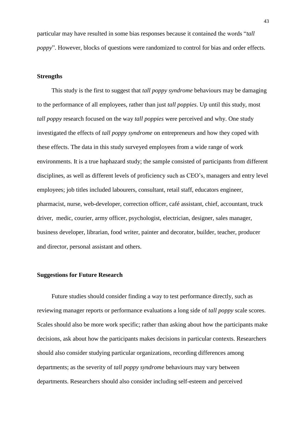particular may have resulted in some bias responses because it contained the words "*tall poppy*". However, blocks of questions were randomized to control for bias and order effects.

# **Strengths**

This study is the first to suggest that *tall poppy syndrome* behaviours may be damaging to the performance of all employees, rather than just *tall poppies*. Up until this study, most *tall poppy* research focused on the way *tall poppies* were perceived and why. One study investigated the effects of *tall poppy syndrome* on entrepreneurs and how they coped with these effects. The data in this study surveyed employees from a wide range of work environments. It is a true haphazard study; the sample consisted of participants from different disciplines, as well as different levels of proficiency such as CEO's, managers and entry level employees; job titles included labourers, consultant, retail staff, educators engineer, pharmacist, nurse, web-developer, correction officer, café assistant, chief, accountant, truck driver, medic, courier, army officer, psychologist, electrician, designer, sales manager, business developer, librarian, food writer, painter and decorator, builder, teacher, producer and director, personal assistant and others.

#### **Suggestions for Future Research**

Future studies should consider finding a way to test performance directly, such as reviewing manager reports or performance evaluations a long side of *tall poppy* scale scores. Scales should also be more work specific; rather than asking about how the participants make decisions, ask about how the participants makes decisions in particular contexts. Researchers should also consider studying particular organizations, recording differences among departments; as the severity of *tall poppy syndrome* behaviours may vary between departments. Researchers should also consider including self-esteem and perceived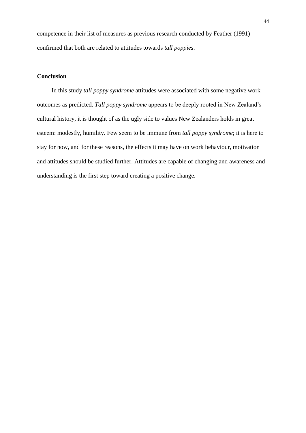competence in their list of measures as previous research conducted by Feather (1991) confirmed that both are related to attitudes towards *tall poppies*.

# **Conclusion**

In this study *tall poppy syndrome* attitudes were associated with some negative work outcomes as predicted. *Tall poppy syndrome* appears to be deeply rooted in New Zealand's cultural history, it is thought of as the ugly side to values New Zealanders holds in great esteem: modestly, humility. Few seem to be immune from *tall poppy syndrome*; it is here to stay for now, and for these reasons, the effects it may have on work behaviour, motivation and attitudes should be studied further. Attitudes are capable of changing and awareness and understanding is the first step toward creating a positive change.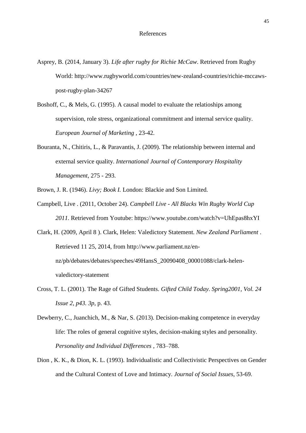- Asprey, B. (2014, January 3). *Life after rugby for Richie McCaw*. Retrieved from Rugby World: http://www.rugbyworld.com/countries/new-zealand-countries/richie-mccawspost-rugby-plan-34267
- Boshoff, C., & Mels, G. (1995). A causal model to evaluate the relatioships among supervision, role stress, organizational commitment and internal service quality. *European Journal of Marketing* , 23-42.
- Bouranta, N., Chitiris, L., & Paravantis, J. (2009). The relationship between internal and external service quality. *International Journal of Contemporary Hospitality Management*, 275 - 293.
- Brown, J. R. (1946). *Livy; Book I.* London: Blackie and Son Limited.
- Campbell, Live . (2011, October 24). *Campbell Live - All Blacks Win Rugby World Cup 2011*. Retrieved from Youtube: https://www.youtube.com/watch?v=UhEpas8hxYI
- Clark, H. (2009, April 8 ). Clark, Helen: Valedictory Statement. *New Zealand Parliament* . Retrieved 11 25, 2014, from http://www.parliament.nz/ennz/pb/debates/debates/speeches/49HansS\_20090408\_00001088/clark-helenvaledictory-statement
- Cross, T. L. (2001). The Rage of Gifted Students. *Gifted Child Today. Spring2001, Vol. 24 Issue 2, p43. 3p*, p. 43.
- Dewberry, C., Juanchich, M., & Nar, S. (2013). Decision-making competence in everyday life: The roles of general cognitive styles, decision-making styles and personality. *Personality and Individual Differences* , 783–788.
- Dion , K. K., & Dion, K. L. (1993). Individualistic and Collectivistic Perspectives on Gender and the Cultural Context of Love and Intimacy. *Journal of Social Issues*, 53-69.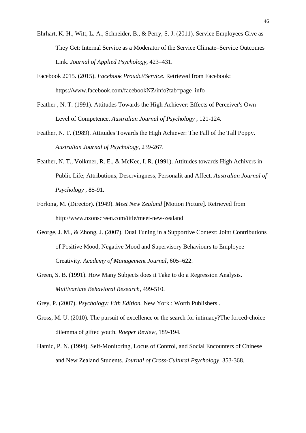- Ehrhart, K. H., Witt, L. A., Schneider, B., & Perry, S. J. (2011). Service Employees Give as They Get: Internal Service as a Moderator of the Service Climate–Service Outcomes Link. *Journal of Applied Psychology*, 423–431.
- Facebook 2015. (2015). *Facebook Proudct/Service*. Retrieved from Facebook: https://www.facebook.com/facebookNZ/info?tab=page\_info
- Feather , N. T. (1991). Attitudes Towards the High Achiever: Effects of Perceiver's Own Level of Competence. *Australian Journal of Psychology* , 121-124.
- Feather, N. T. (1989). Attitudes Towards the High Achiever: The Fall of the Tall Poppy. *Australian Journal of Psychology*, 239-267.
- Feather, N. T., Volkmer, R. E., & McKee, I. R. (1991). Attitudes towards High Achivers in Public Life; Attributions, Deservingness, Personalit and Affect. *Australian Journal of Psychology* , 85-91.
- Forlong, M. (Director). (1949). *Meet New Zealand* [Motion Picture]. Retrieved from http://www.nzonscreen.com/title/meet-new-zealand
- George, J. M., & Zhong, J. (2007). Dual Tuning in a Supportive Context: Joint Contributions of Positive Mood, Negative Mood and Supervisory Behaviours to Employee Creativity. *Academy of Management Journal*, 605–622.
- Green, S. B. (1991). How Many Subjects does it Take to do a Regression Analysis. *Multivariate Behavioral Research*, 499-510.
- Grey, P. (2007). *Psychology: Fith Edition.* New York : Worth Publishers .
- Gross, M. U. (2010). The pursuit of excellence or the search for intimacy?The forced‐choice dilemma of gifted youth. *Roeper Review*, 189-194.
- Hamid, P. N. (1994). Self-Monitoring, Locus of Control, and Social Encounters of Chinese and New Zealand Students. *Journal of Cross-Cultural Psychology*, 353-368.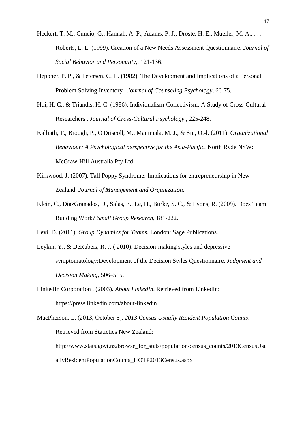- Heckert, T. M., Cuneio, G., Hannah, A. P., Adams, P. J., Droste, H. E., Mueller, M. A., ... Roberts, L. L. (1999). Creation of a New Needs Assessment Questionnaire. *Journal of Social Behavior and Personuiity,*, 121-136.
- Heppner, P. P., & Petersen, C. H. (1982). The Development and Implications of a Personal Problem Solving Inventory . *Journal of Counseling Psychology*, 66-75.
- Hui, H. C., & Triandis, H. C. (1986). Individualism-Collectivism; A Study of Cross-Cultural Researchers . *Journal of Cross-Cultural Psychology* , 225-248.
- Kalliath, T., Brough, P., O'Driscoll, M., Manimala, M. J., & Siu, O.-l. (2011). *Organizational Behaviour; A Psychological perspective for the Asia-Pacific.* North Ryde NSW: McGraw-Hill Australia Pty Ltd.
- Kirkwood, J. (2007). Tall Poppy Syndrome: Implications for entrepreneurship in New Zealand. *Journal of Management and Organization*.
- Klein, C., DiazGranados, D., Salas, E., Le, H., Burke, S. C., & Lyons, R. (2009). Does Team Building Work? *Small Group Research*, 181-222.
- Levi, D. (2011). *Group Dynamics for Teams.* London: Sage Publications.
- Leykin, Y., & DeRubeis, R. J. ( 2010). Decision-making styles and depressive symptomatology:Development of the Decision Styles Questionnaire. *Judgment and Decision Making*, 506–515.
- LinkedIn Corporation . (2003). *About LinkedIn*. Retrieved from LinkedIn: https://press.linkedin.com/about-linkedin

MacPherson, L. (2013, October 5). *2013 Census Usually Resident Population Counts*. Retrieved from Statictics New Zealand: http://www.stats.govt.nz/browse\_for\_stats/population/census\_counts/2013CensusUsu allyResidentPopulationCounts\_HOTP2013Census.aspx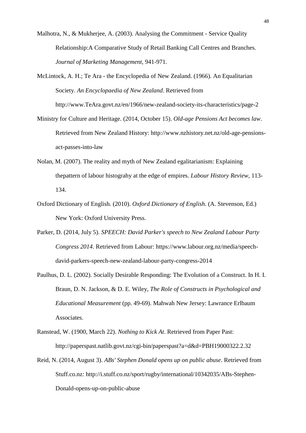- Malhotra, N., & Mukherjee, A. (2003). Analysing the Commitment Service Quality Relationship:A Comparative Study of Retail Banking Call Centres and Branches. *Journal of Marketing Management*, 941-971.
- McLintock, A. H.; Te Ara the Encyclopedia of New Zealand. (1966). An Equalitarian Society. *An Encyclopaedia of New Zealand*. Retrieved from http://www.TeAra.govt.nz/en/1966/new-zealand-society-its-characteristics/page-2
- Ministry for Culture and Heritage. (2014, October 15). *Old-age Pensions Act becomes law*. Retrieved from New Zealand History: http://www.nzhistory.net.nz/old-age-pensionsact-passes-into-law
- Nolan, M. (2007). The reality and myth of New Zealand egalitarianism: Explaining thepattern of labour histograhy at the edge of empires. *Labour History Review*, 113- 134.
- Oxford Dictionary of English. (2010). *Oxford Dictionary of English.* (A. Stevenson, Ed.) New York: Oxford University Press.
- Parker, D. (2014, July 5). *SPEECH: David Parker's speech to New Zealand Labour Party Congress 2014*. Retrieved from Labour: https://www.labour.org.nz/media/speechdavid-parkers-speech-new-zealand-labour-party-congress-2014
- Paulhus, D. L. (2002). Socially Desirable Responding: The Evolution of a Construct. In H. I. Braun, D. N. Jackson, & D. E. Wiley, *The Role of Constructs in Psychological and Educational Measurement* (pp. 49-69). Mahwah New Jersey: Lawrance Erlbaum Associates.
- Ranstead, W. (1900, March 22). *Nothing to Kick At*. Retrieved from Paper Past: http://paperspast.natlib.govt.nz/cgi-bin/paperspast?a=d&d=PBH19000322.2.32
- Reid, N. (2014, August 3). *ABs' Stephen Donald opens up on public abuse*. Retrieved from Stuff.co.nz: http://i.stuff.co.nz/sport/rugby/international/10342035/ABs-Stephen-Donald-opens-up-on-public-abuse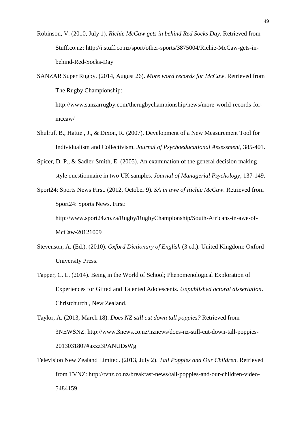- Robinson, V. (2010, July 1). *Richie McCaw gets in behind Red Socks Day*. Retrieved from Stuff.co.nz: http://i.stuff.co.nz/sport/other-sports/3875004/Richie-McCaw-gets-inbehind-Red-Socks-Day
- SANZAR Super Rugby. (2014, August 26). *More word records for McCaw*. Retrieved from The Rugby Championship:

http://www.sanzarrugby.com/therugbychampionship/news/more-world-records-formccaw/

- Shulruf, B., Hattie , J., & Dixon, R. (2007). Development of a New Measurement Tool for Individualism and Collectivism. *Journal of Psychoeducational Assessment*, 385-401.
- Spicer, D. P., & Sadler-Smith, E. (2005). An examination of the general decision making style questionnaire in two UK samples. *Journal of Managerial Psychology*, 137-149.
- Sport24: Sports News First. (2012, October 9). *SA in awe of Richie McCaw*. Retrieved from Sport24: Sports News. First:

http://www.sport24.co.za/Rugby/RugbyChampionship/South-Africans-in-awe-of-McCaw-20121009

- Stevenson, A. (Ed.). (2010). *Oxford Dictionary of English* (3 ed.). United Kingdom: Oxford University Press.
- Tapper, C. L. (2014). Being in the World of School; Phenomenological Exploration of Experiences for Gifted and Talented Adolescents. *Unpublished octoral dissertation*. Christchurch , New Zealand.

Taylor, A. (2013, March 18). *Does NZ still cut down tall poppies?* Retrieved from 3NEWSNZ: http://www.3news.co.nz/nznews/does-nz-still-cut-down-tall-poppies-2013031807#axzz3PANUDsWg

Television New Zealand Limited. (2013, July 2). *Tall Poppies and Our Children*. Retrieved from TVNZ: http://tvnz.co.nz/breakfast-news/tall-poppies-and-our-children-video-5484159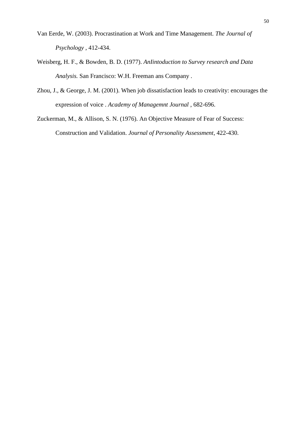- Van Eerde, W. (2003). Procrastination at Work and Time Management. *The Journal of Psychology* , 412-434.
- Weisberg, H. F., & Bowden, B. D. (1977). *AnIintoduction to Survey research and Data Analysis.* San Francisco: W.H. Freeman ans Company .
- Zhou, J., & George, J. M. (2001). When job dissatisfaction leads to creativity: encourages the expression of voice . *Academy of Managemnt Journal* , 682-696.

Zuckerman, M., & Allison, S. N. (1976). An Objective Measure of Fear of Success: Construction and Validation. *Journal of Personality Assessment*, 422-430.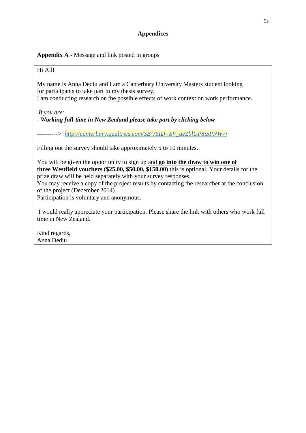# **Appendices**

**Appendix A** - Message and link posted in groups

# Hi All!

My name is Anna Dediu and I am a Canterbury University Masters student looking for participants to take part in my thesis survey.

I am conducting research on the possible effects of work context on work performance.

*If you are:*

# *- Working full-time in New Zealand please take part by clicking below*

*----------> [http://canterbury.qualtrics.com/SE/?SID=SV\\_aeZblUP8i5PNW7j](http://canterbury.qualtrics.com/SE/?SID=SV_aeZblUP8i5PNW7j)*

Filling out the survey should take approximately 5 to 10 minutes.

You will be given the opportunity to sign up and **go into the draw to win one of three Westfield vouchers (\$25.00, \$50.00, \$150.00)** this is optional. Your details for the prize draw will be held separately with your survey responses.

You may receive a copy of the project results by contacting the researcher at the conclusion of the project (December 2014).

Participation is voluntary and anonymous.

I would really appreciate your participation. Please share the link with others who work full time in New Zealand.

Kind regards, Anna Dediu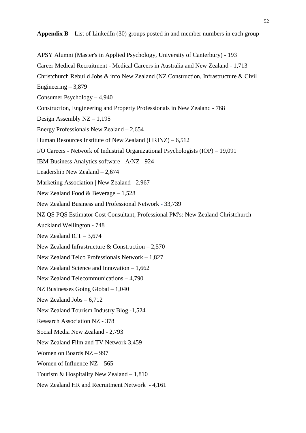APSY Alumni (Master's in Applied [Psychology,](https://www.linkedin.com/groups?home=&gid=4040355&trk=anet_ug_hm&goback=%2Enpv_244862042_*1_*1_*1_*1_*1_*1_*1_*1_*1_*1_*1_*1_*1_*1_*1_*1_*1_*1_*1_*1_*1_*1_*1_*1_*1_*1_*1_*1_*1_*1_*1_*1_*1_*1_*1_spm*4pic_*1) University of Canterbury) - 193 Career Medical [Recruitment](https://www.linkedin.com/groups?home=&gid=905897&trk=anet_ug_hm&goback=%2Enpv_244862042_*1_*1_*1_*1_*1_*1_*1_*1_*1_*1_*1_*1_*1_*1_*1_*1_*1_*1_*1_*1_*1_*1_*1_*1_*1_*1_*1_*1_*1_*1_*1_*1_*1_*1_*1_spm*4pic_*1) - Medical Careers in Australia and New Zealand - 1,713 Christchurch Rebuild Jobs & info New Zealand (NZ Construction, [Infrastructure](https://www.linkedin.com/groups?home=&gid=3908560&trk=anet_ug_hm&goback=%2Enpv_244862042_*1_*1_*1_*1_*1_*1_*1_*1_*1_*1_*1_*1_*1_*1_*1_*1_*1_*1_*1_*1_*1_*1_*1_*1_*1_*1_*1_*1_*1_*1_*1_*1_*1_*1_*1_spm*4pic_*1) & Civil [Engineering](https://www.linkedin.com/groups?home=&gid=3908560&trk=anet_ug_hm&goback=%2Enpv_244862042_*1_*1_*1_*1_*1_*1_*1_*1_*1_*1_*1_*1_*1_*1_*1_*1_*1_*1_*1_*1_*1_*1_*1_*1_*1_*1_*1_*1_*1_*1_*1_*1_*1_*1_*1_spm*4pic_*1)  $-3,879$ Consumer [Psychology](https://www.linkedin.com/groups?home=&gid=3208049&trk=anet_ug_hm&goback=%2Enpv_244862042_*1_*1_*1_*1_*1_*1_*1_*1_*1_*1_*1_*1_*1_*1_*1_*1_*1_*1_*1_*1_*1_*1_*1_*1_*1_*1_*1_*1_*1_*1_*1_*1_*1_*1_*1_spm*4pic_*1) – 4,940 [Construction,](https://www.linkedin.com/groups?home=&gid=1499817&trk=anet_ug_hm&goback=%2Enpv_244862042_*1_*1_*1_*1_*1_*1_*1_*1_*1_*1_*1_*1_*1_*1_*1_*1_*1_*1_*1_*1_*1_*1_*1_*1_*1_*1_*1_*1_*1_*1_*1_*1_*1_*1_*1_spm*4pic_*1) Engineering and Property Professionals in New Zealand - 768 Design [Assembly](https://www.linkedin.com/groups?home=&gid=2251181&trk=anet_ug_hm&goback=%2Enpv_244862042_*1_*1_*1_*1_*1_*1_*1_*1_*1_*1_*1_*1_*1_*1_*1_*1_*1_*1_*1_*1_*1_*1_*1_*1_*1_*1_*1_*1_*1_*1_*1_*1_*1_*1_*1_spm*4pic_*1) NZ – 1,195 Energy [Professionals](https://www.linkedin.com/groups?home=&gid=2990602&trk=anet_ug_hm&goback=%2Enpv_244862042_*1_*1_*1_*1_*1_*1_*1_*1_*1_*1_*1_*1_*1_*1_*1_*1_*1_*1_*1_*1_*1_*1_*1_*1_*1_*1_*1_*1_*1_*1_*1_*1_*1_*1_*1_spm*4pic_*1) New Zealand – 2,654 Human [Resources](https://www.linkedin.com/groups?home=&gid=3017817&trk=anet_ug_hm&goback=%2Enpv_244862042_*1_*1_*1_*1_*1_*1_*1_*1_*1_*1_*1_*1_*1_*1_*1_*1_*1_*1_*1_*1_*1_*1_*1_*1_*1_*1_*1_*1_*1_*1_*1_*1_*1_*1_*1_spm*4pic_*1) Institute of New Zealand (HRINZ) – 6,512 I/O Careers - Network of Industrial [Organizational](https://www.linkedin.com/groups?home=&gid=87377&trk=anet_ug_hm&goback=%2Enpv_244862042_*1_*1_*1_*1_*1_*1_*1_*1_*1_*1_*1_*1_*1_*1_*1_*1_*1_*1_*1_*1_*1_*1_*1_*1_*1_*1_*1_*1_*1_*1_*1_*1_*1_*1_*1_spm*4pic_*1) Psychologists (IOP) – 19,091 IBM Business [Analytics](https://www.linkedin.com/groups?home=&gid=3767045&trk=anet_ug_hm&goback=%2Enpv_244862042_*1_*1_*1_*1_*1_*1_*1_*1_*1_*1_*1_*1_*1_*1_*1_*1_*1_*1_*1_*1_*1_*1_*1_*1_*1_*1_*1_*1_*1_*1_*1_*1_*1_*1_*1_spm*4pic_*1) software - A/NZ - 924 [Leadership](https://www.linkedin.com/groups?home=&gid=2185943&trk=anet_ug_hm&goback=%2Enpv_244862042_*1_*1_*1_*1_*1_*1_*1_*1_*1_*1_*1_*1_*1_*1_*1_*1_*1_*1_*1_*1_*1_*1_*1_*1_*1_*1_*1_*1_*1_*1_*1_*1_*1_*1_*1_spm*4pic_*1) New Zealand – 2,674 Marketing [Association](https://www.linkedin.com/groups?home=&gid=4454831&trk=anet_ug_hm&goback=%2Enpv_244862042_*1_*1_*1_*1_*1_*1_*1_*1_*1_*1_*1_*1_*1_*1_*1_*1_*1_*1_*1_*1_*1_*1_*1_*1_*1_*1_*1_*1_*1_*1_*1_*1_*1_*1_*1_spm*4pic_*1) | New Zealand - 2,967 New Zealand Food & [Beverage](https://www.linkedin.com/groups?home=&gid=1784244&trk=anet_ug_hm&goback=%2Enpv_244862042_*1_*1_*1_*1_*1_*1_*1_*1_*1_*1_*1_*1_*1_*1_*1_*1_*1_*1_*1_*1_*1_*1_*1_*1_*1_*1_*1_*1_*1_*1_*1_*1_*1_*1_*1_spm*4pic_*1) – 1,528 New Zealand Business and [Professional](https://www.linkedin.com/groups?home=&gid=81899&trk=anet_ug_hm&goback=%2Enpv_244862042_*1_*1_*1_*1_*1_*1_*1_*1_*1_*1_*1_*1_*1_*1_*1_*1_*1_*1_*1_*1_*1_*1_*1_*1_*1_*1_*1_*1_*1_*1_*1_*1_*1_*1_*1_spm*4pic_*1) Network - 33,739 NZ QS PQS Estimator Cost Consultant, Professional PM's: New Zealand [Christchurch](https://www.linkedin.com/groups?home=&gid=4688560&trk=anet_ug_hm&goback=%2Enpv_244862042_*1_*1_*1_*1_*1_*1_*1_*1_*1_*1_*1_*1_*1_*1_*1_*1_*1_*1_*1_*1_*1_*1_*1_*1_*1_*1_*1_*1_*1_*1_*1_*1_*1_*1_*1_spm*4pic_*1) Auckland [Wellington](https://www.linkedin.com/groups?home=&gid=4688560&trk=anet_ug_hm&goback=%2Enpv_244862042_*1_*1_*1_*1_*1_*1_*1_*1_*1_*1_*1_*1_*1_*1_*1_*1_*1_*1_*1_*1_*1_*1_*1_*1_*1_*1_*1_*1_*1_*1_*1_*1_*1_*1_*1_spm*4pic_*1) - 748 New [Zealand](https://www.linkedin.com/groups?home=&gid=1784247&trk=anet_ug_hm&goback=%2Enpv_244862042_*1_*1_*1_*1_*1_*1_*1_*1_*1_*1_*1_*1_*1_*1_*1_*1_*1_*1_*1_*1_*1_*1_*1_*1_*1_*1_*1_*1_*1_*1_*1_*1_*1_*1_*1_spm*4pic_*1) ICT  $-3,674$ New Zealand [Infrastructure](https://www.linkedin.com/groups?home=&gid=1784255&trk=anet_ug_hm&goback=%2Enpv_244862042_*1_*1_*1_*1_*1_*1_*1_*1_*1_*1_*1_*1_*1_*1_*1_*1_*1_*1_*1_*1_*1_*1_*1_*1_*1_*1_*1_*1_*1_*1_*1_*1_*1_*1_*1_spm*4pic_*1)  $&$  Construction – 2,570 New Zealand Telco [Professionals](https://www.linkedin.com/groups?home=&gid=3717800&trk=anet_ug_hm&goback=%2Enpv_244862042_*1_*1_*1_*1_*1_*1_*1_*1_*1_*1_*1_*1_*1_*1_*1_*1_*1_*1_*1_*1_*1_*1_*1_*1_*1_*1_*1_*1_*1_*1_*1_*1_*1_*1_*1_spm*4pic_*1) Network – 1,827 New Zealand Science and [Innovation](https://www.linkedin.com/groups?home=&gid=2225893&trk=anet_ug_hm&goback=%2Enpv_244862042_*1_*1_*1_*1_*1_*1_*1_*1_*1_*1_*1_*1_*1_*1_*1_*1_*1_*1_*1_*1_*1_*1_*1_*1_*1_*1_*1_*1_*1_*1_*1_*1_*1_*1_*1_spm*4pic_*1) – 1,662 New Zealand [Telecommunications](https://www.linkedin.com/groups?home=&gid=2444775&trk=anet_ug_hm&goback=%2Enpv_244862042_*1_*1_*1_*1_*1_*1_*1_*1_*1_*1_*1_*1_*1_*1_*1_*1_*1_*1_*1_*1_*1_*1_*1_*1_*1_*1_*1_*1_*1_*1_*1_*1_*1_*1_*1_spm*4pic_*1) – 4,790 NZ [Businesses](https://www.linkedin.com/groups?home=&gid=4764270&trk=anet_ug_hm&goback=%2Enpv_244862042_*1_*1_*1_*1_*1_*1_*1_*1_*1_*1_*1_*1_*1_*1_*1_*1_*1_*1_*1_*1_*1_*1_*1_*1_*1_*1_*1_*1_*1_*1_*1_*1_*1_*1_*1_spm*4pic_*1) Going Global – 1,040 New [Zealand](https://www.linkedin.com/groups?home=&gid=2555763&trk=anet_ug_hm&goback=%2Enpv_244862042_*1_*1_*1_*1_*1_*1_*1_*1_*1_*1_*1_*1_*1_*1_*1_*1_*1_*1_*1_*1_*1_*1_*1_*1_*1_*1_*1_*1_*1_*1_*1_*1_*1_*1_*1_spm*4pic_*1) Jobs – 6,712 New Zealand [Tourism](https://www.linkedin.com/groups?home=&gid=2734897&trk=anet_ug_hm&goback=%2Enpv_244862042_*1_*1_*1_*1_*1_*1_*1_*1_*1_*1_*1_*1_*1_*1_*1_*1_*1_*1_*1_*1_*1_*1_*1_*1_*1_*1_*1_*1_*1_*1_*1_*1_*1_*1_*1_spm*4pic_*1) Industry Blog -1,524 Research [Association](https://www.linkedin.com/groups?home=&gid=3971139&trk=anet_ug_hm&goback=%2Enpv_244862042_*1_*1_*1_*1_*1_*1_*1_*1_*1_*1_*1_*1_*1_*1_*1_*1_*1_*1_*1_*1_*1_*1_*1_*1_*1_*1_*1_*1_*1_*1_*1_*1_*1_*1_*1_spm*4pic_*1) NZ - 378 Social Media New [Zealand](https://www.linkedin.com/groups?home=&gid=3222491&trk=anet_ug_hm&goback=%2Enpv_244862042_*1_*1_*1_*1_*1_*1_*1_*1_*1_*1_*1_*1_*1_*1_*1_*1_*1_*1_*1_*1_*1_*1_*1_*1_*1_*1_*1_*1_*1_*1_*1_*1_*1_*1_*1_spm*4pic_*1) - 2,793 New Zealand Film and TV [Network](https://www.linkedin.com/groups?home=&gid=1849843&trk=anet_ug_hm&goback=%2Enpv_244862042_*1_*1_*1_*1_*1_*1_*1_*1_*1_*1_*1_*1_*1_*1_*1_*1_*1_*1_*1_*1_*1_*1_*1_*1_*1_*1_*1_*1_*1_*1_*1_*1_*1_*1_*1_spm*4pic_*1) 3,459 [Women](https://www.linkedin.com/groups?home=&gid=4174358&trk=anet_ug_hm&goback=%2Enpv_244862042_*1_*1_*1_*1_*1_*1_*1_*1_*1_*1_*1_*1_*1_*1_*1_*1_*1_*1_*1_*1_*1_*1_*1_*1_*1_*1_*1_*1_*1_*1_*1_*1_*1_*1_*1_spm*4pic_*1) on Boards NZ – 997 Women of [Influence](https://www.linkedin.com/groups?home=&gid=5063162&trk=anet_ug_hm&goback=%2Enpv_244862042_*1_*1_*1_*1_*1_*1_*1_*1_*1_*1_*1_*1_*1_*1_*1_*1_*1_*1_*1_*1_*1_*1_*1_*1_*1_*1_*1_*1_*1_*1_*1_*1_*1_*1_*1_spm*4pic_*1) NZ – 565 Tourism & [Hospitality](https://www.linkedin.com/groups?home=&gid=2097991&trk=anet_ug_hm&goback=%2Enpv_244862042_*1_*1_*1_*1_*1_*1_*1_*1_*1_*1_*1_*1_*1_*1_*1_*1_*1_*1_*1_*1_*1_*1_*1_*1_*1_*1_*1_*1_*1_*1_*1_*1_*1_*1_*1_spm*4pic_*1) New Zealand – 1,810 New Zealand HR and [Recruitment](https://www.linkedin.com/groups?home=&gid=1803288&trk=anet_ug_hm&goback=%2Enpv_244862042_*1_*1_*1_*1_*1_*1_*1_*1_*1_*1_*1_*1_*1_*1_*1_*1_*1_*1_*1_*1_*1_*1_*1_*1_*1_*1_*1_*1_*1_*1_*1_*1_*1_*1_*1_spm*4pic_*1) Network - 4,161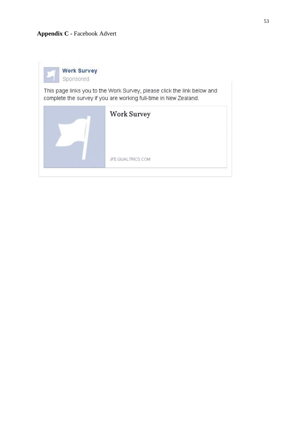# **Appendix C -** Facebook Advert



This page links you to the Work Survey, please click the link below and complete the survey if you are working full-time in New Zealand.

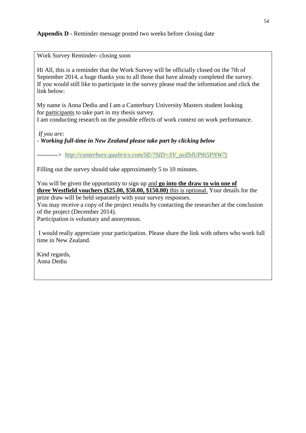# **Appendix D -** Reminder message posted two weeks before closing date

Work Survey Reminder- closing soon

Hi All, this is a reminder that the Work Survey will be officially closed on the 7th of September 2014, a huge thanks you to all those that have already completed the survey. If you would still like to participate in the survey please read the information and click the link below:

My name is Anna Dediu and I am a Canterbury University Masters student looking for participants to take part in my thesis survey.

I am conducting research on the possible effects of work context on work performance.

*If you are:*

*- Working full-time in New Zealand please take part by clicking below*

*----------> [http://canterbury.qualtrics.com/SE/?SID=SV\\_aeZblUP8i5PNW7j](http://canterbury.qualtrics.com/SE/?SID=SV_aeZblUP8i5PNW7j)*

Filling out the survey should take approximately 5 to 10 minutes.

You will be given the opportunity to sign up and **go into the draw to win one of three Westfield vouchers (\$25.00, \$50.00, \$150.00)** this is optional. Your details for the prize draw will be held separately with your survey responses. You may receive a copy of the project results by contacting the researcher at the conclusion of the project (December 2014).

Participation is voluntary and anonymous.

I would really appreciate your participation. Please share the link with others who work full time in New Zealand.

Kind regards, Anna Dediu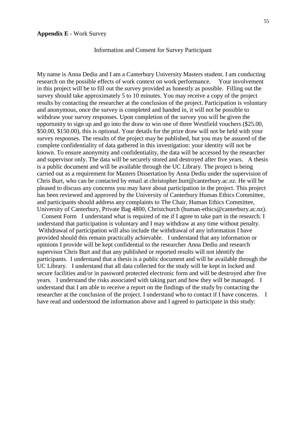#### **Appendix E** - Work Survey

#### Information and Consent for Survey Participant

My name is Anna Dediu and I am a Canterbury University Masters student. I am conducting research on the possible effects of work context on work performance. Your involvement in this project will be to fill out the survey provided as honestly as possible. Filling out the survey should take approximately 5 to 10 minutes. You may receive a copy of the project results by contacting the researcher at the conclusion of the project. Participation is voluntary and anonymous, once the survey is completed and handed in, it will not be possible to withdraw your survey responses. Upon completion of the survey you will be given the opportunity to sign up and go into the draw to win one of three Westfield vouchers (\$25.00, \$50.00, \$150.00), this is optional. Your details for the prize draw will not be held with your survey responses. The results of the project may be published, but you may be assured of the complete confidentiality of data gathered in this investigation: your identity will not be known. To ensure anonymity and confidentiality, the data will be accessed by the researcher and supervisor only. The data will be securely stored and destroyed after five years. A thesis is a public document and will be available through the UC Library. The project is being carried out as a requirement for Masters Dissertation by Anna Dediu under the supervision of Chris Burt, who can be contacted by email at christopher.burt@canterbury.ac.nz. He will be pleased to discuss any concerns you may have about participation in the project. This project has been reviewed and approved by the University of Canterbury Human Ethics Committee, and participants should address any complaints to The Chair, Human Ethics Committee, University of Canterbury, Private Bag 4800, Christchurch (human-ethics@canterbury.ac.nz).

 Consent Form I understand what is required of me if I agree to take part in the research. I understand that participation is voluntary and I may withdraw at any time without penalty. Withdrawal of participation will also include the withdrawal of any information I have provided should this remain practically achievable. I understand that any information or opinions I provide will be kept confidential to the researcher Anna Dediu and research supervisor Chris Burt and that any published or reported results will not identify the participants. I understand that a thesis is a public document and will be available through the UC Library. I understand that all data collected for the study will be kept in locked and secure facilities and/or in password protected electronic form and will be destroyed after five years. I understand the risks associated with taking part and how they will be managed. I understand that I am able to receive a report on the findings of the study by contacting the researcher at the conclusion of the project. I understand who to contact if I have concerns. I have read and understood the information above and I agreed to participate in this study: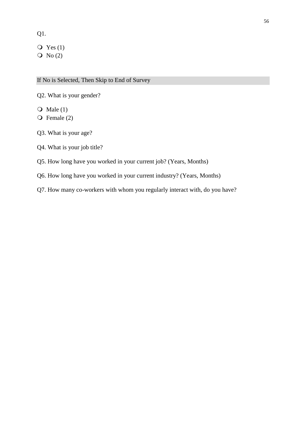Q1.

 $Q$  Yes (1)  $\overline{O}$  No (2)

If No is Selected, Then Skip to End of Survey

Q2. What is your gender?

 $\overline{Q}$  Male (1)

 $\overline{Q}$  Female (2)

Q3. What is your age?

# Q4. What is your job title?

Q5. How long have you worked in your current job? (Years, Months)

Q6. How long have you worked in your current industry? (Years, Months)

Q7. How many co-workers with whom you regularly interact with, do you have?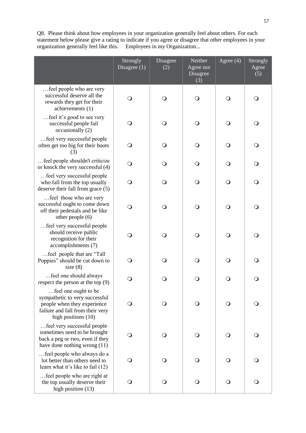Q8. Please think about how employees in your organization generally feel about others. For each statement below please give a rating to indicate if you agree or disagree that other employees in your organization generally feel like this. Employees in my Organization...

|                                                                                                                                                    | Strongly<br>Disagree $(1)$ | Disagree<br>(2) | Neither<br>Agree nor<br>Disagree<br>(3) | Agree $(4)$  | Strongly<br>Agree<br>(5) |
|----------------------------------------------------------------------------------------------------------------------------------------------------|----------------------------|-----------------|-----------------------------------------|--------------|--------------------------|
| feel people who are very<br>successful deserve all the<br>rewards they get for their<br>achievements (1)                                           | O                          | O               | $\bigcirc$                              | O            | $\Omega$                 |
| feel it's good to see very<br>successful people fail<br>occasionally (2)                                                                           | O                          | O               | $\bigcirc$                              | $\Omega$     | $\bigcirc$               |
| feel very successful people<br>often get too big for their boots<br>(3)                                                                            | $\circ$                    | $\mathsf{O}$    | $\bigcirc$                              | $\bigcirc$   | $\mathsf{O}$             |
| feel people shouldn't criticize<br>or knock the very successful (4)                                                                                | $\mathsf{O}$               | O               | $\bigcirc$                              | $\circ$      | $\bigcirc$               |
| feel very successful people<br>who fall from the top usually<br>deserve their fall from grace (5)                                                  | $\circ$                    | $\mathsf{O}$    | $\bigcirc$                              | $\mathsf{O}$ | $\mathsf{O}$             |
| feel those who are very<br>successful ought to come down<br>off their pedestals and be like<br>other people (6)                                    | O                          | O               | $\bigcirc$                              | $\circ$      | $\mathsf{O}$             |
| feel very successful people<br>should receive public<br>recognition for their<br>accomplishments (7)                                               | O                          | O               | $\bigcirc$                              | $\Omega$     | $\mathsf{O}$             |
| feel people that are "Tall<br>Poppies" should be cut down to<br>size $(8)$                                                                         | O                          | O               | $\bigcirc$                              | $\Omega$     | $\mathsf{O}$             |
| feel one should always<br>respect the person at the top $(9)$                                                                                      | O                          | O               | O                                       | O            | $\Omega$                 |
| feel one ought to be<br>sympathetic to very successful<br>people when they experience<br>failure and fall from their very<br>high positions $(10)$ | Ő                          | O               | $\bigcirc$                              | $\mathsf{O}$ | $\mathsf{O}$             |
| feel very successful people<br>sometimes need to be brought<br>back a peg or two, even if they<br>have done nothing wrong (11)                     | $\Omega$                   | Q               | $\bigcirc$                              | $\Omega$     | $\bigcirc$               |
| feel people who always do a<br>lot better than others need to<br>learn what it's like to fail (12)                                                 | $\mathsf{O}$               | $\bigcirc$      | $\bigcirc$                              | $\bigcirc$   | $\bigcirc$               |
| feel people who are right at<br>the top usually deserve their<br>high position (13)                                                                | $\bigcirc$                 | $\bigcirc$      | $\bigcirc$                              | $\bigcirc$   | $\bigcirc$               |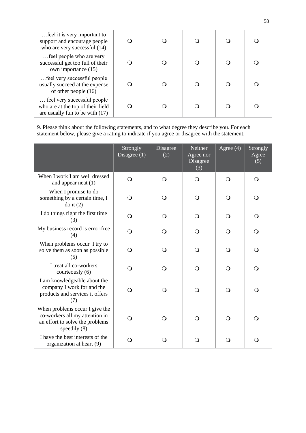| feel it is very important to<br>support and encourage people<br>who are very successful (14)        |  |  |  |
|-----------------------------------------------------------------------------------------------------|--|--|--|
| feel people who are very<br>successful get too full of their<br>own importance (15)                 |  |  |  |
| feel very successful people<br>usually succeed at the expense<br>of other people $(16)$             |  |  |  |
| feel very successful people<br>who are at the top of their field<br>are usually fun to be with (17) |  |  |  |

9. Please think about the following statements, and to what degree they describe you. For each statement below, please give a rating to indicate if you agree or disagree with the statement.

|                                                                                                                     | Strongly<br>Disagree $(1)$ | Disagree<br>(2) | Neither<br>Agree nor<br>Disagree<br>(3) | Agree $(4)$ | Strongly<br>Agree<br>(5) |
|---------------------------------------------------------------------------------------------------------------------|----------------------------|-----------------|-----------------------------------------|-------------|--------------------------|
| When I work I am well dressed<br>and appear neat $(1)$                                                              | $\Omega$                   | $\bigcirc$      | $\Omega$                                | $\Omega$    | $\mathsf{O}$             |
| When I promise to do<br>something by a certain time, I<br>$d$ o it $(2)$                                            | O                          | 0               | $\mathsf{O}$                            | Q           | ∩                        |
| I do things right the first time<br>(3)                                                                             | $\Omega$                   | ∩               | $\Omega$                                | ∩           | O                        |
| My business record is error-free<br>(4)                                                                             | Q                          | ∩               | $\Omega$                                | $\Omega$    | O                        |
| When problems occur I try to<br>solve them as soon as possible<br>(5)                                               | Q                          | ∩               | $\bigcirc$                              | ∩           | O                        |
| I treat all co-workers<br>courteously (6)                                                                           | O                          | ∩               | $\Omega$                                | ∩           | ∩                        |
| I am knowledgeable about the<br>company I work for and the<br>products and services it offers<br>(7)                | Q                          | ⌒               | $\Omega$                                | $\Omega$    | ∩                        |
| When problems occur I give the<br>co-workers all my attention in<br>an effort to solve the problems<br>speedily (8) | Q                          |                 | $\Omega$                                | ∩           | ∩                        |
| I have the best interests of the<br>organization at heart (9)                                                       | O                          |                 | Q                                       | ∩           | ∩                        |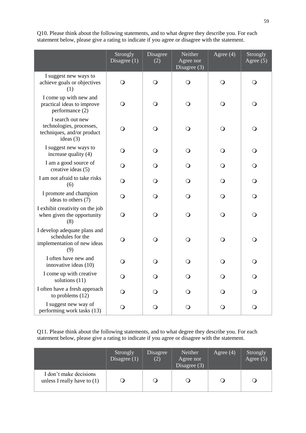Q10. Please think about the following statements, and to what degree they describe you. For each statement below, please give a rating to indicate if you agree or disagree with the statement.

|                                                                                           | Strongly<br>Disagree $(1)$ | Disagree<br>(2) | Neither<br>Agree nor<br>Disagree $(3)$ | Agree $(4)$  | Strongly<br>Agree $(5)$ |
|-------------------------------------------------------------------------------------------|----------------------------|-----------------|----------------------------------------|--------------|-------------------------|
| I suggest new ways to<br>achieve goals or objectives<br>(1)                               | $\mathsf{O}$               | $\bigcirc$      | $\mathsf{O}$                           | $\Omega$     | Q                       |
| I come up with new and<br>practical ideas to improve<br>performance (2)                   | $\Omega$                   | O               | O                                      | $\Omega$     | $\circ$                 |
| I search out new<br>technologies, processes,<br>techniques, and/or product<br>ideas $(3)$ | O                          | O               | O                                      | O            | $\circ$                 |
| I suggest new ways to<br>increase quality (4)                                             | $\mathsf{O}$               | $\mathsf{O}$    | O                                      | $\mathsf{O}$ | $\mathbf{O}$            |
| I am a good source of<br>creative ideas (5)                                               | $\mathsf{O}$               | O               | O                                      | $\mathsf{O}$ | $\mathsf{O}$            |
| I am not afraid to take risks<br>(6)                                                      | $\Omega$                   | Q               | Q                                      | $\Omega$     | $\circ$                 |
| I promote and champion<br>ideas to others (7)                                             | $\Omega$                   | Q               | Q                                      | Q            | $\Omega$                |
| I exhibit creativity on the job<br>when given the opportunity<br>(8)                      | $\mathsf{O}$               | $\Omega$        | O                                      | $\mathsf{O}$ | $\mathsf{O}$            |
| I develop adequate plans and<br>schedules for the<br>implementation of new ideas<br>(9)   | $\mathsf{O}$               | $\Omega$        | $\mathsf{O}$                           | O            | $\mathsf{O}$            |
| I often have new and<br>innovative ideas (10)                                             | $\Omega$                   | Q               | Q                                      | Q            | $\Omega$                |
| I come up with creative<br>solutions (11)                                                 | Q                          | Q               | Q                                      | Q            | $\Omega$                |
| I often have a fresh approach<br>to problems $(12)$                                       | Q                          | O               | ○                                      | O            | O                       |
| I suggest new way of<br>performing work tasks (13)                                        | $\bigcirc$                 | Ő               | O                                      | $\circ$      | O                       |

Q11. Please think about the following statements, and to what degree they describe you. For each statement below, please give a rating to indicate if you agree or disagree with the statement.

|                                                         | Strongly<br>Disagree $(1)$ | Disagree<br>(2) | Neither<br>Agree nor<br>Disagree $(3)$ | Agree $(4)$ | Strongly<br>Agree $(5)$ |
|---------------------------------------------------------|----------------------------|-----------------|----------------------------------------|-------------|-------------------------|
| I don't make decisions<br>unless I really have to $(1)$ |                            |                 |                                        |             |                         |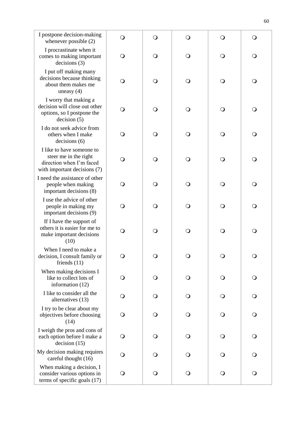| I postpone decision-making<br>whenever possible (2)                                                            | $\Omega$     | $\bigcirc$   | $\bigcirc$   | $\Omega$     | $\mathsf{O}$ |
|----------------------------------------------------------------------------------------------------------------|--------------|--------------|--------------|--------------|--------------|
| I procrastinate when it<br>comes to making important<br>decisions (3)                                          | $\mathsf{O}$ | O            | $\bigcirc$   | O            | O            |
| I put off making many<br>decisions because thinking<br>about them makes me<br>uneasy $(4)$                     | O            | O            | $\bigcirc$   | $\circ$      | O            |
| I worry that making a<br>decision will close out other<br>options, so I postpone the<br>decision (5)           | O            | $\Omega$     | $\mathsf{O}$ | O            | O            |
| I do not seek advice from<br>others when I make<br>decisions(6)                                                | O            | $\mathsf{O}$ | $\bigcirc$   | $\mathsf{O}$ | $\bigcirc$   |
| I like to have someone to<br>steer me in the right<br>direction when I'm faced<br>with important decisions (7) | O            | $\mathsf{O}$ | $\mathsf{O}$ | $\Omega$     | $\mathsf{O}$ |
| I need the assistance of other<br>people when making<br>important decisions (8)                                | O            | O            | $\bigcirc$   | $\mathsf{O}$ | $\bigcirc$   |
| I use the advice of other<br>people in making my<br>important decisions (9)                                    | $\mathsf{O}$ | O            | $\bigcirc$   | $\mathsf{O}$ | $\bigcirc$   |
| If I have the support of<br>others it is easier for me to<br>make important decisions<br>(10)                  | O            | $\bigcirc$   | $\bigcirc$   | $\Omega$     | $\bigcirc$   |
| When I need to make a<br>decision, I consult family or<br>friends $(11)$                                       | $\mathsf{O}$ | $\mathsf{O}$ | $\bigcirc$   | $\Omega$     | $\bigcirc$   |
| When making decisions I<br>like to collect lots of<br>information (12)                                         | $\Omega$     | $\mathsf{O}$ | $\bigcirc$   | $\Omega$     | $\mathsf{O}$ |
| I like to consider all the<br>alternatives (13)                                                                | $\mathsf{O}$ | $\mathsf{O}$ | $\bigcirc$   | $\mathsf{O}$ | $\bigcirc$   |
| I try to be clear about my<br>objectives before choosing<br>(14)                                               | Q            | O            | $\bigcirc$   | Q            | $\bigcirc$   |
| I weigh the pros and cons of<br>each option before I make a<br>decision (15)                                   | $\mathsf{O}$ | $\mathsf{O}$ | $\bigcirc$   | $\mathbf{O}$ | $\mathsf{O}$ |
| My decision making requires<br>careful thought (16)                                                            | $\Omega$     | $\Omega$     | $\bigcirc$   | $\Omega$     | $\mathsf{O}$ |
| When making a decision, I<br>consider various options in<br>terms of specific goals (17)                       | $\bigcirc$   | $\bigcirc$   | $\bigcirc$   | $\bigcirc$   | $\bigcirc$   |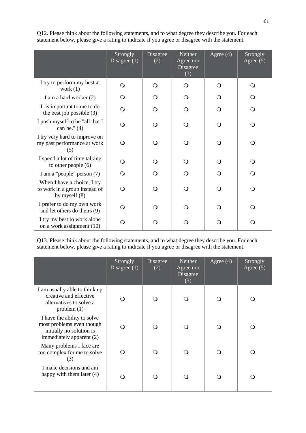|                                                                                 | Strongly<br>Disagree $(1)$ | Disagree<br>(2) | Neither<br>Agree nor<br>Disagree<br>(3) | Agree $(4)$ | Strongly<br>Agree $(5)$ |
|---------------------------------------------------------------------------------|----------------------------|-----------------|-----------------------------------------|-------------|-------------------------|
| I try to perform my best at<br>work $(1)$                                       | $\mathbf{O}$               | $\Omega$        | O                                       | $\Omega$    | $\Omega$                |
| I am a hard worker (2)                                                          | O                          | $\Omega$        | Q                                       | O           | $\Omega$                |
| It is important to me to do<br>the best job possible $(3)$                      | Q                          | $\Omega$        | Q                                       | $\Omega$    | ∩                       |
| I push myself to be "all that I<br>can be." $(4)$                               | ∩                          | $\Omega$        | Q                                       | $\Omega$    | $\Omega$                |
| I try very hard to improve on<br>my past performance at work<br>(5)             | ∩                          | $\Omega$        | Q                                       | $\Omega$    | ∩                       |
| I spend a lot of time talking<br>to other people $(6)$                          | O                          | $\Omega$        | Q                                       | Q           | Q                       |
| I am a "people" person (7)                                                      | Q                          | $\Omega$        | Q                                       | Q           | $\Omega$                |
| When I have a choice, I try<br>to work in a group instead of<br>by myself $(8)$ | ∩                          | $\Omega$        | ∩                                       | $\Omega$    | $\Omega$                |
| I prefer to do my own work<br>and let others do theirs (9)                      | ∩                          | $\bigcirc$      | ∩                                       | $\bigcirc$  | $\Omega$                |
| I try my best to work alone<br>on a work assignment (10)                        | O                          | $\mathsf{O}$    | O                                       | $\Omega$    | Q                       |

Q12. Please think about the following statements, and to what degree they describe you. For each statement below, please give a rating to indicate if you agree or disagree with the statement.

Q13. Please think about the following statements, and to what degree they describe you. For each statement below, please give a rating to indicate if you agree or disagree with the statement.

|                                                                                                                  | Strongly<br>Disagree $(1)$ | Disagree<br>(2) | Neither<br>Agree nor<br>Disagree<br>(3) | Agree $(4)$ | Strongly<br>Agree $(5)$ |
|------------------------------------------------------------------------------------------------------------------|----------------------------|-----------------|-----------------------------------------|-------------|-------------------------|
| I am usually able to think up<br>creative and effective<br>alternatives to solve a<br>problem(1)                 |                            |                 | ∩                                       |             |                         |
| I have the ability to solve<br>most problems even though<br>initially no solution is<br>immediately apparent (2) |                            |                 |                                         |             | ∩                       |
| Many problems I face are<br>too complex for me to solve<br>(3)                                                   |                            |                 |                                         |             | ∩                       |
| I make decisions and am<br>happy with them later (4)                                                             |                            |                 |                                         |             | ∩                       |